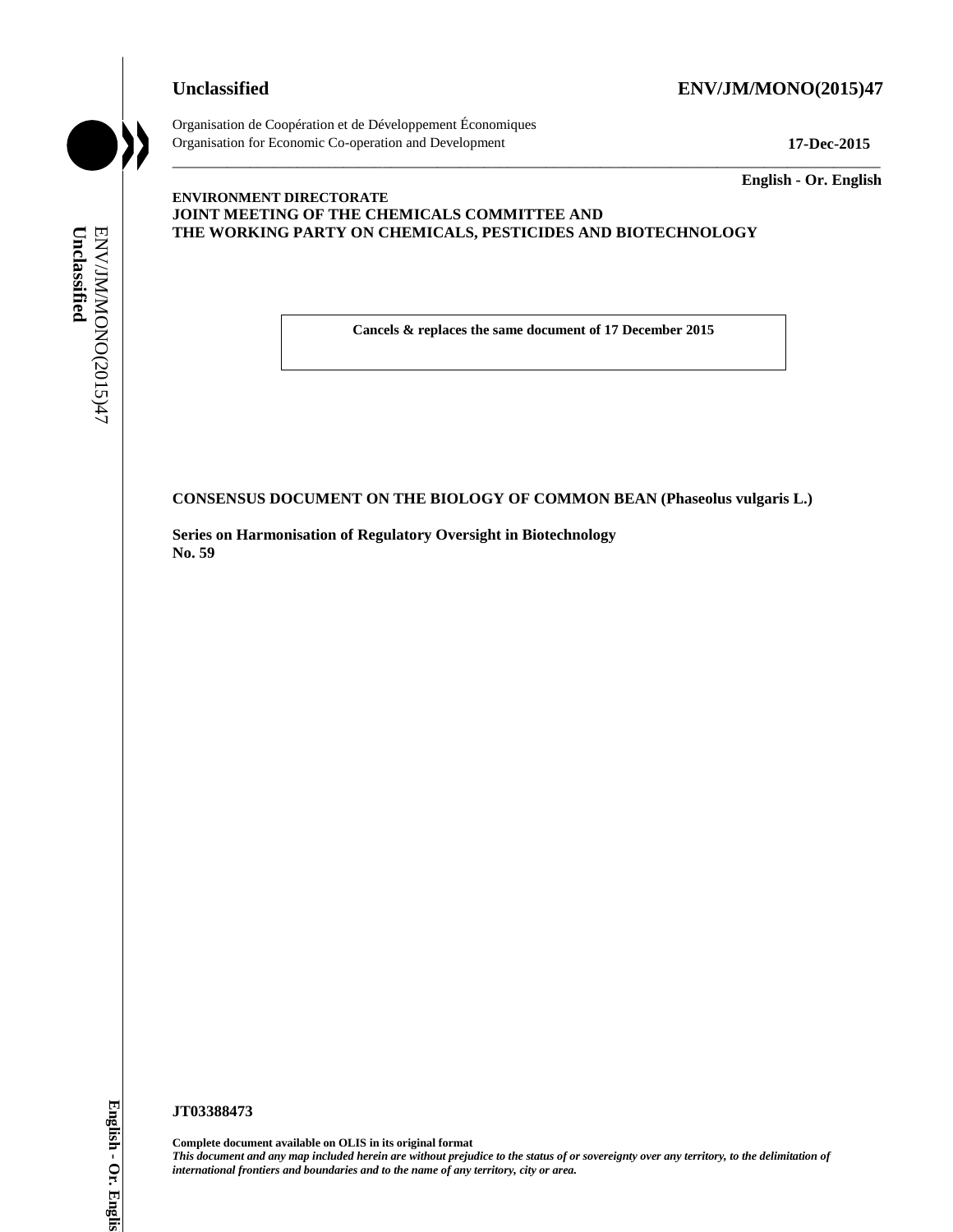#### **Unclassified ENV/JM/MONO(2015)47**

Organisation de Coopération et de Développement Économiques Organisation for Economic Co-operation and Development **17-Dec-2015** \_\_\_\_\_\_\_\_\_\_\_\_\_\_\_\_\_\_\_\_\_\_\_\_\_\_\_\_\_\_\_\_\_\_\_\_\_\_\_\_\_\_\_\_\_\_\_\_\_\_\_\_\_\_\_\_\_\_\_\_\_\_\_\_\_\_\_\_\_\_\_\_\_\_\_\_\_\_\_\_\_\_\_\_\_\_\_\_\_\_\_

\_\_\_\_\_\_\_\_\_\_\_\_\_ **English - Or. English**

#### **ENVIRONMENT DIRECTORATE JOINT MEETING OF THE CHEMICALS COMMITTEE AND THE WORKING PARTY ON CHEMICALS, PESTICIDES AND BIOTECHNOLOGY**

**Cancels & replaces the same document of 17 December 2015**

**CONSENSUS DOCUMENT ON THE BIOLOGY OF COMMON BEAN (Phaseolus vulgaris L.)**

**Series on Harmonisation of Regulatory Oversight in Biotechnology No. 59**

**JT03388473**

**Complete document available on OLIS in its original format** *This document and any map included herein are without prejudice to the status of or sovereignty over any territory, to the delimitation of*  **iinternational frontiers and boundaries and boundaries and boundaries and boundaries area. Concelled CONSENSUS DOCUMENT ON THE BIOLOGY OF COMPRESS**<br> **CONSENSUS DOCUMENT ON THE BIOLOGY OF COMPRESS**<br>
States on Harmonisati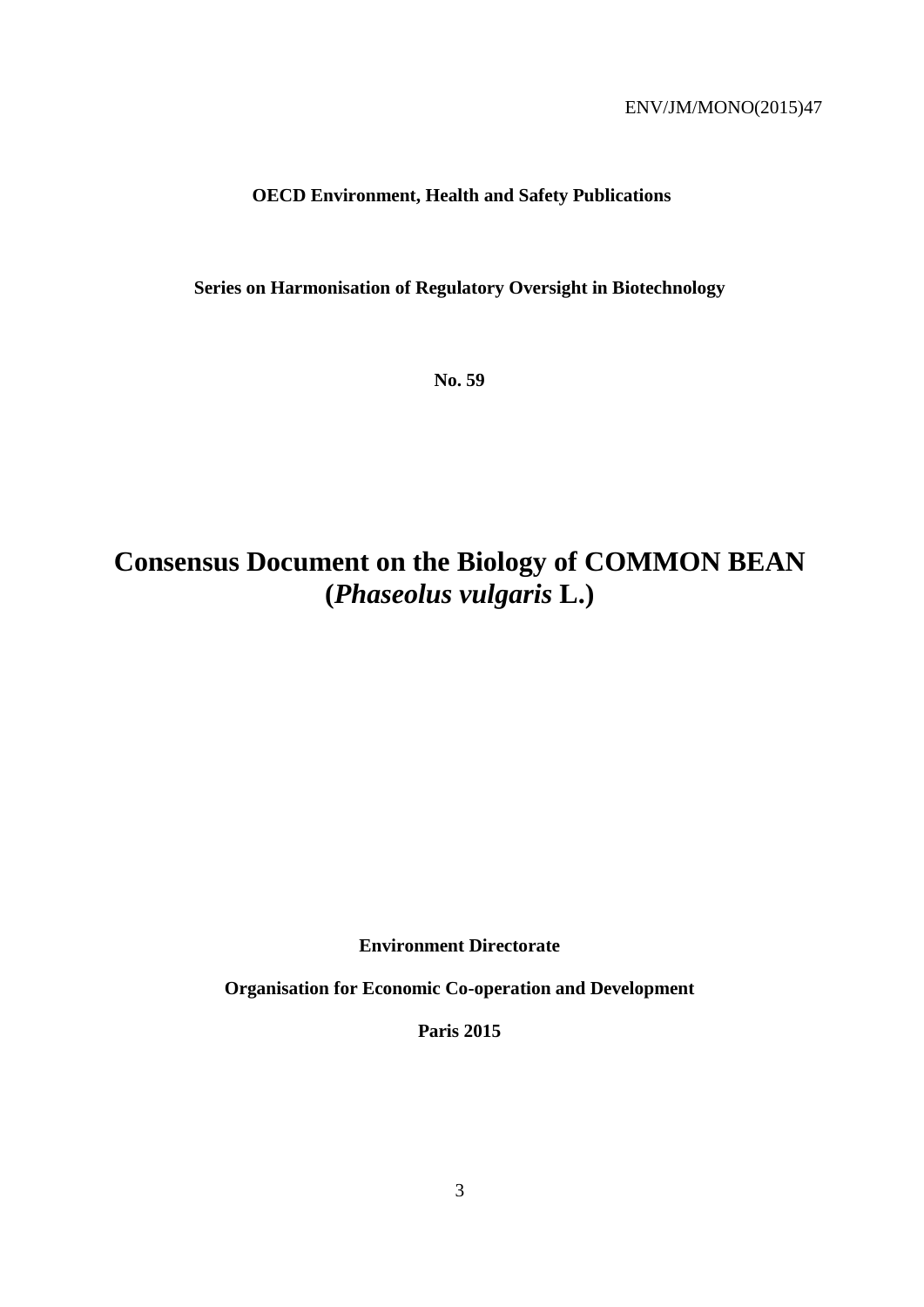# **OECD Environment, Health and Safety Publications**

**Series on Harmonisation of Regulatory Oversight in Biotechnology**

**No. 59**

# **Consensus Document on the Biology of COMMON BEAN (***Phaseolus vulgaris* **L.)**

**Environment Directorate**

**Organisation for Economic Co-operation and Development**

**Paris 2015**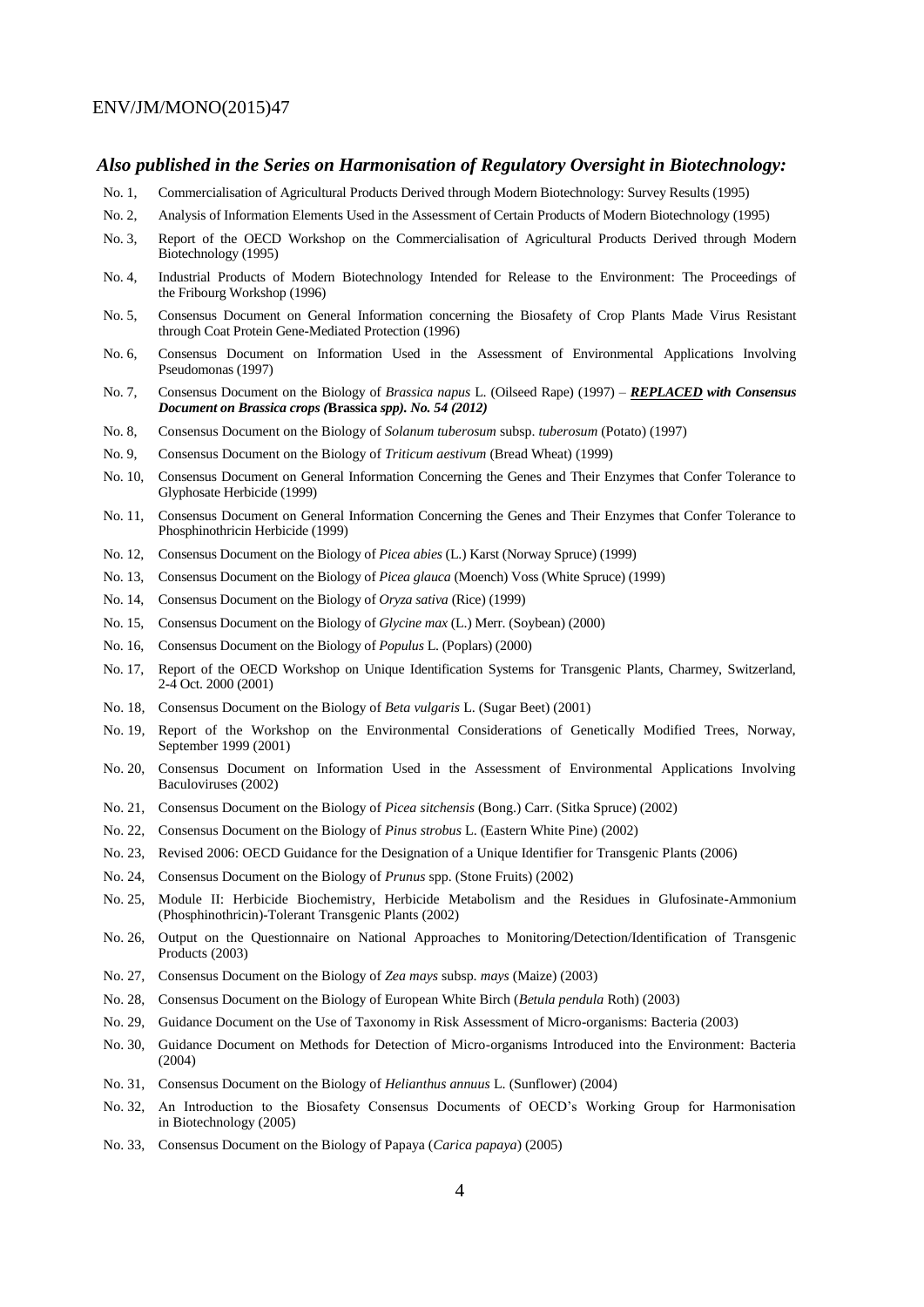#### *Also published in the Series on Harmonisation of Regulatory Oversight in Biotechnology:*

- No. 1, Commercialisation of Agricultural Products Derived through Modern Biotechnology: Survey Results (1995)
- No. 2, Analysis of Information Elements Used in the Assessment of Certain Products of Modern Biotechnology (1995)
- No. 3, Report of the OECD Workshop on the Commercialisation of Agricultural Products Derived through Modern Biotechnology (1995)
- No. 4, Industrial Products of Modern Biotechnology Intended for Release to the Environment: The Proceedings of the Fribourg Workshop (1996)
- No. 5, Consensus Document on General Information concerning the Biosafety of Crop Plants Made Virus Resistant through Coat Protein Gene-Mediated Protection (1996)
- No. 6, Consensus Document on Information Used in the Assessment of Environmental Applications Involving Pseudomonas (1997)
- No. 7, Consensus Document on the Biology of *Brassica napus* L. (Oilseed Rape) (1997) *– REPLACED with Consensus Document on Brassica crops (***Brassica** *spp). No. 54 (2012)*
- No. 8, Consensus Document on the Biology of *Solanum tuberosum* subsp. *tuberosum* (Potato) (1997)
- No. 9, Consensus Document on the Biology of *Triticum aestivum* (Bread Wheat) (1999)
- No. 10, Consensus Document on General Information Concerning the Genes and Their Enzymes that Confer Tolerance to Glyphosate Herbicide (1999)
- No. 11, Consensus Document on General Information Concerning the Genes and Their Enzymes that Confer Tolerance to Phosphinothricin Herbicide (1999)
- No. 12, Consensus Document on the Biology of *Picea abies* (L.) Karst (Norway Spruce) (1999)
- No. 13, Consensus Document on the Biology of *Picea glauca* (Moench) Voss (White Spruce) (1999)
- No. 14, Consensus Document on the Biology of *Oryza sativa* (Rice) (1999)
- No. 15, Consensus Document on the Biology of *Glycine max* (L.) Merr. (Soybean) (2000)
- No. 16, Consensus Document on the Biology of *Populus* L. (Poplars) (2000)
- No. 17, Report of the OECD Workshop on Unique Identification Systems for Transgenic Plants, Charmey, Switzerland, 2-4 Oct. 2000 (2001)
- No. 18*,* Consensus Document on the Biology of *Beta vulgaris* L. (Sugar Beet) (2001)
- No. 19*,* Report of the Workshop on the Environmental Considerations of Genetically Modified Trees, Norway, September 1999 (2001)
- No. 20, Consensus Document on Information Used in the Assessment of Environmental Applications Involving Baculoviruses (2002)
- No. 21, Consensus Document on the Biology of *Picea sitchensis* (Bong.) Carr. (Sitka Spruce) (2002)
- No. 22, Consensus Document on the Biology of *Pinus strobus* L. (Eastern White Pine) (2002)
- No. 23, Revised 2006: OECD Guidance for the Designation of a Unique Identifier for Transgenic Plants (2006)
- No. 24, Consensus Document on the Biology of *Prunus* spp. (Stone Fruits) (2002)
- No. 25, Module II: Herbicide Biochemistry, Herbicide Metabolism and the Residues in Glufosinate-Ammonium (Phosphinothricin)-Tolerant Transgenic Plants (2002)
- No. 26, Output on the Questionnaire on National Approaches to Monitoring/Detection/Identification of Transgenic Products (2003)
- No. 27, Consensus Document on the Biology of *Zea mays* subsp. *mays* (Maize) (2003)
- No. 28, Consensus Document on the Biology of European White Birch (*Betula pendula* Roth) (2003)
- No. 29, Guidance Document on the Use of Taxonomy in Risk Assessment of Micro-organisms: Bacteria (2003)
- No. 30, Guidance Document on Methods for Detection of Micro-organisms Introduced into the Environment: Bacteria (2004)
- No. 31, Consensus Document on the Biology of *Helianthus annuus* L. (Sunflower) (2004)
- No. 32, An Introduction to the Biosafety Consensus Documents of OECD's Working Group for Harmonisation in Biotechnology (2005)
- No. 33, Consensus Document on the Biology of Papaya (*Carica papaya*) (2005)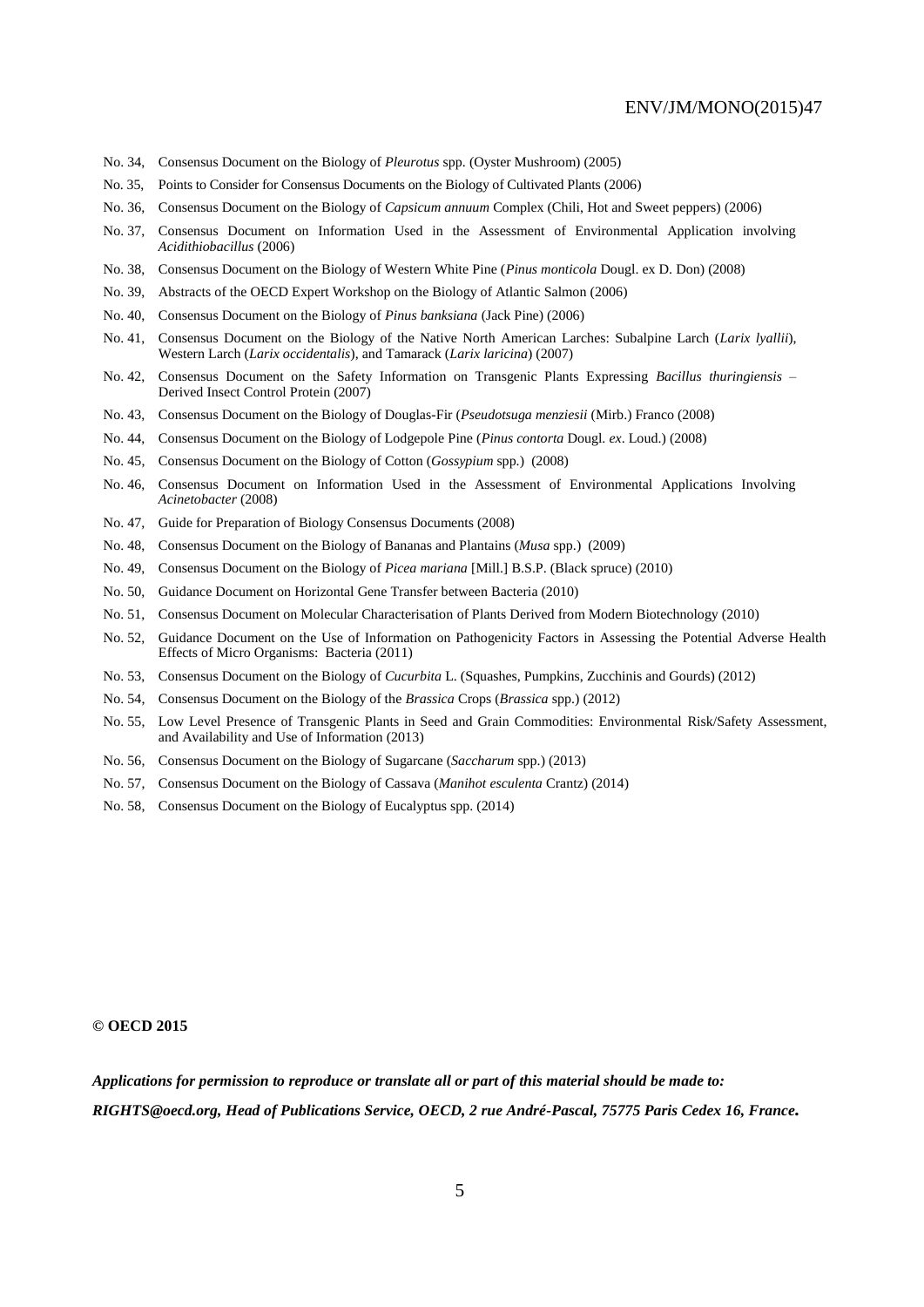- No. 34, Consensus Document on the Biology of *Pleurotus* spp. (Oyster Mushroom) (2005)
- No. 35, Points to Consider for Consensus Documents on the Biology of Cultivated Plants (2006)
- No. 36, Consensus Document on the Biology of *Capsicum annuum* Complex (Chili, Hot and Sweet peppers) (2006)
- No. 37, Consensus Document on Information Used in the Assessment of Environmental Application involving *Acidithiobacillus* (2006)
- No. 38, Consensus Document on the Biology of Western White Pine (*Pinus monticola* Dougl. ex D. Don) (2008)
- No. 39, Abstracts of the OECD Expert Workshop on the Biology of Atlantic Salmon (2006)
- No. 40, Consensus Document on the Biology of *Pinus banksiana* (Jack Pine) (2006)
- No. 41, Consensus Document on the Biology of the Native North American Larches: Subalpine Larch (*Larix lyallii*), Western Larch (*Larix occidentalis*), and Tamarack (*Larix laricina*) (2007)
- No. 42, Consensus Document on the Safety Information on Transgenic Plants Expressing *Bacillus thuringiensis* Derived Insect Control Protein (2007)
- No. 43, Consensus Document on the Biology of Douglas-Fir (*Pseudotsuga menziesii* (Mirb.) Franco (2008)
- No. 44, Consensus Document on the Biology of Lodgepole Pine (*Pinus contorta* Dougl. *ex*. Loud.) (2008)
- No. 45, Consensus Document on the Biology of Cotton (*Gossypium* spp.) (2008)
- No. 46, Consensus Document on Information Used in the Assessment of Environmental Applications Involving *Acinetobacter* (2008)
- No. 47, Guide for Preparation of Biology Consensus Documents (2008)
- No. 48, Consensus Document on the Biology of Bananas and Plantains (*Musa* spp.) (2009)
- No. 49, Consensus Document on the Biology of *Picea mariana* [Mill.] B.S.P. (Black spruce) (2010)
- No. 50, Guidance Document on Horizontal Gene Transfer between Bacteria (2010)
- No. 51, Consensus Document on Molecular Characterisation of Plants Derived from Modern Biotechnology (2010)
- No. 52, Guidance Document on the Use of Information on Pathogenicity Factors in Assessing the Potential Adverse Health Effects of Micro Organisms: Bacteria (2011)
- No. 53, Consensus Document on the Biology of *Cucurbita* L. (Squashes, Pumpkins, Zucchinis and Gourds) (2012)
- No. 54, Consensus Document on the Biology of the *Brassica* Crops (*Brassica* spp.) (2012)
- No. 55, Low Level Presence of Transgenic Plants in Seed and Grain Commodities: Environmental Risk/Safety Assessment, and Availability and Use of Information (2013)
- No. 56, Consensus Document on the Biology of Sugarcane (*Saccharum* spp.) (2013)
- No. 57, Consensus Document on the Biology of Cassava (*Manihot esculenta* Crantz) (2014)
- No. 58, Consensus Document on the Biology of Eucalyptus spp. (2014)

#### **© OECD 2015**

*Applications for permission to reproduce or translate all or part of this material should be made to: RIGHTS@oecd.org, Head of Publications Service, OECD, 2 rue André-Pascal, 75775 Paris Cedex 16, France.*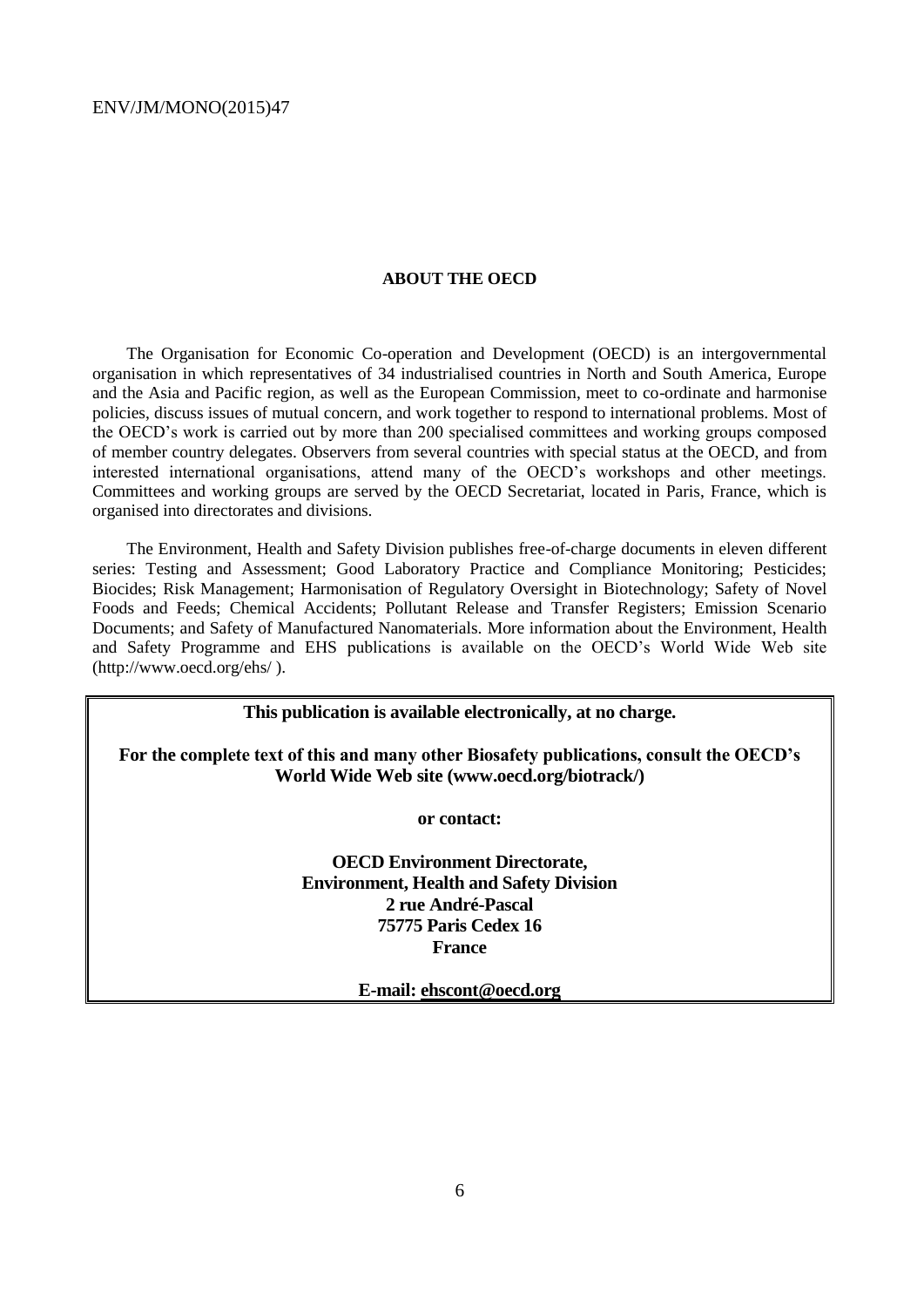#### **ABOUT THE OECD**

The Organisation for Economic Co-operation and Development (OECD) is an intergovernmental organisation in which representatives of 34 industrialised countries in North and South America, Europe and the Asia and Pacific region, as well as the European Commission, meet to co-ordinate and harmonise policies, discuss issues of mutual concern, and work together to respond to international problems. Most of the OECD's work is carried out by more than 200 specialised committees and working groups composed of member country delegates. Observers from several countries with special status at the OECD, and from interested international organisations, attend many of the OECD's workshops and other meetings. Committees and working groups are served by the OECD Secretariat, located in Paris, France, which is organised into directorates and divisions.

The Environment, Health and Safety Division publishes free-of-charge documents in eleven different series: Testing and Assessment; Good Laboratory Practice and Compliance Monitoring; Pesticides; Biocides; Risk Management; Harmonisation of Regulatory Oversight in Biotechnology; Safety of Novel Foods and Feeds; Chemical Accidents; Pollutant Release and Transfer Registers; Emission Scenario Documents; and Safety of Manufactured Nanomaterials. More information about the Environment, Health and Safety Programme and EHS publications is available on the OECD's World Wide Web site (http://www.oecd.org/ehs/ ).

**This publication is available electronically, at no charge.**

**For the complete text of this and many other Biosafety publications, consult the OECD's World Wide Web site (www.oecd.org/biotrack/)**

**or contact:**

**OECD Environment Directorate, Environment, Health and Safety Division 2 rue André-Pascal 75775 Paris Cedex 16 France**

**E-mail: ehscont@oecd.org**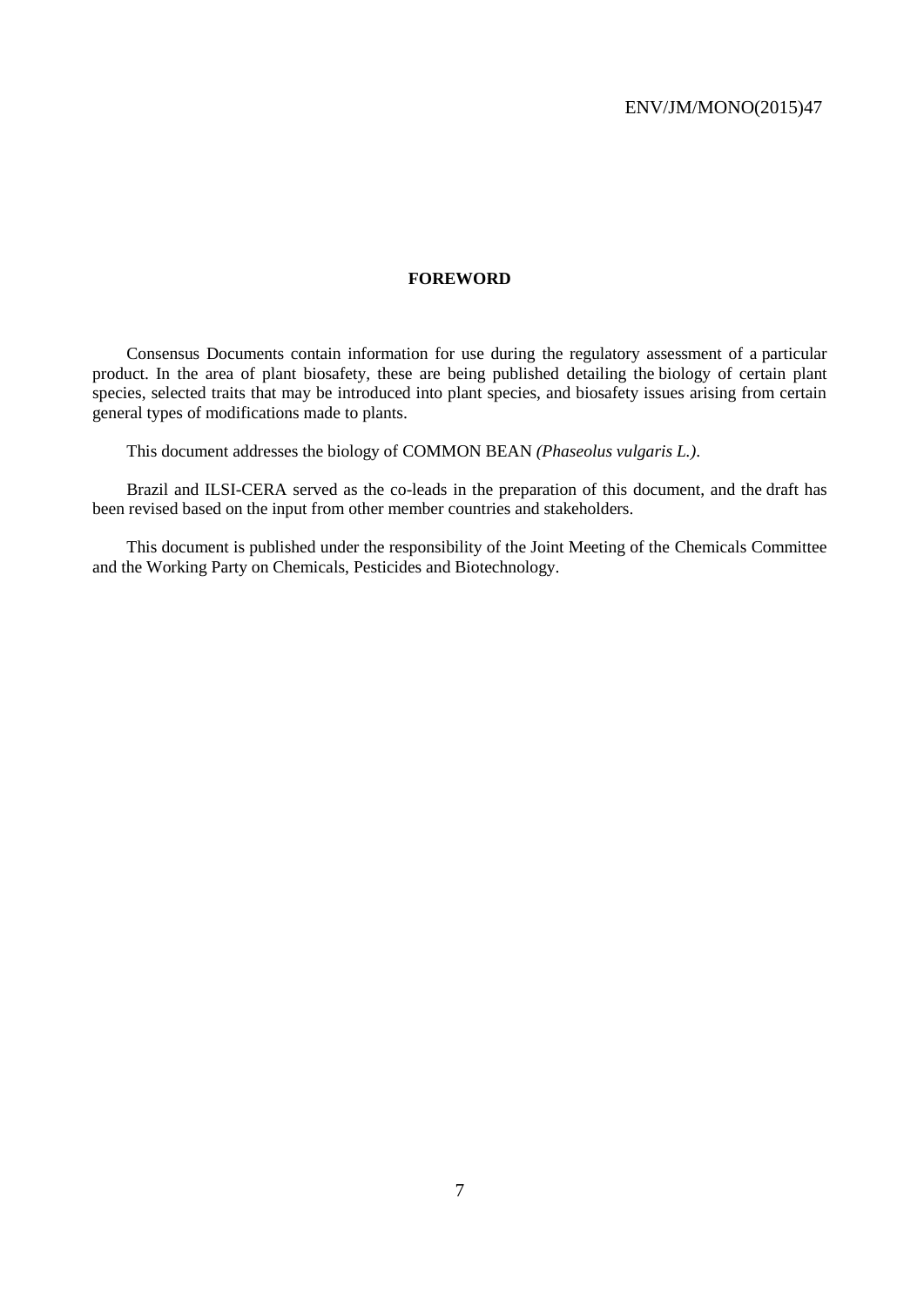#### **FOREWORD**

Consensus Documents contain information for use during the regulatory assessment of a particular product. In the area of plant biosafety, these are being published detailing the biology of certain plant species, selected traits that may be introduced into plant species, and biosafety issues arising from certain general types of modifications made to plants.

This document addresses the biology of COMMON BEAN *(Phaseolus vulgaris L.)*.

Brazil and ILSI-CERA served as the co-leads in the preparation of this document, and the draft has been revised based on the input from other member countries and stakeholders.

This document is published under the responsibility of the Joint Meeting of the Chemicals Committee and the Working Party on Chemicals, Pesticides and Biotechnology.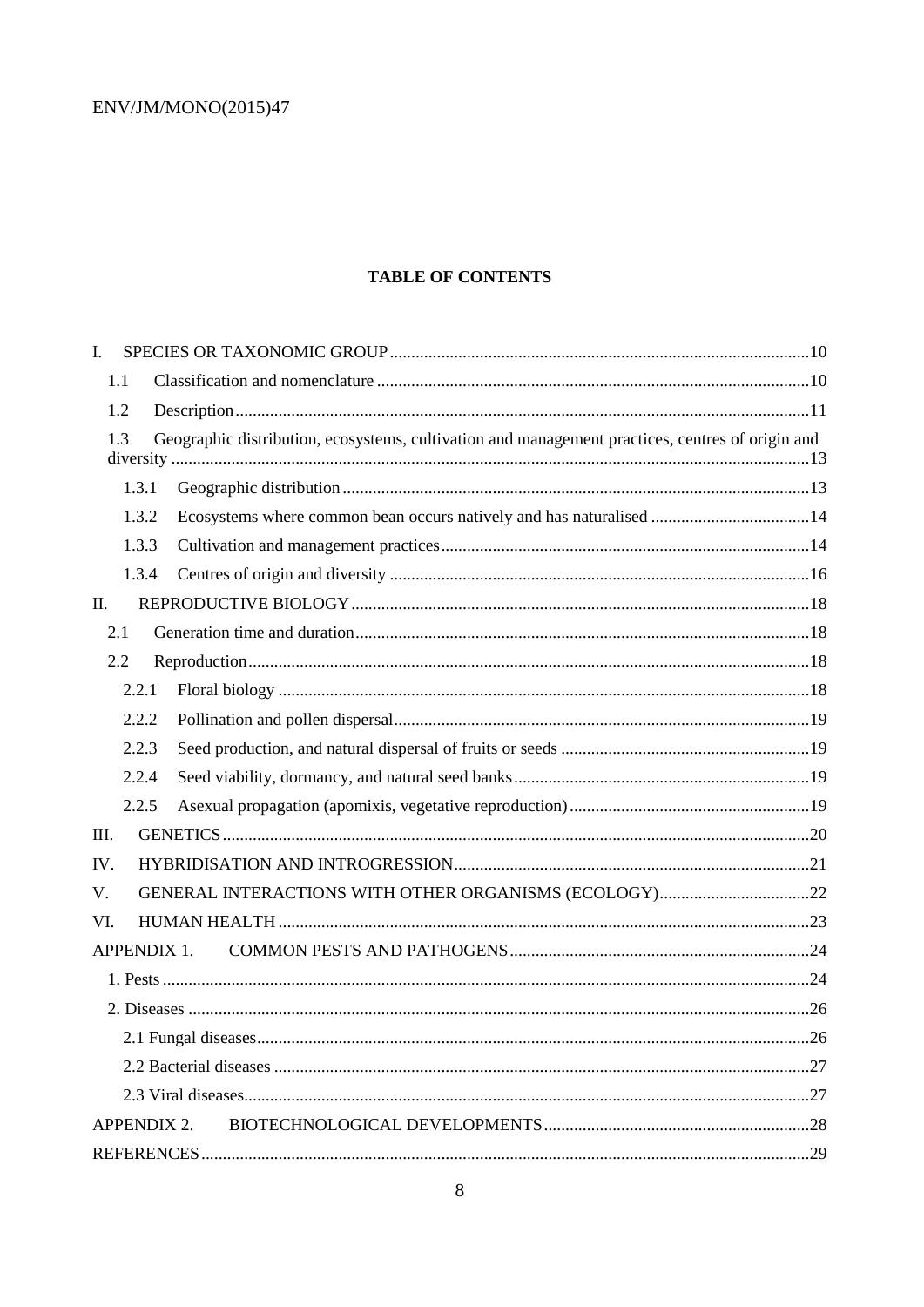## **TABLE OF CONTENTS**

| $\mathbf{I}$ .     |                                                                                                  |  |
|--------------------|--------------------------------------------------------------------------------------------------|--|
| 1.1                |                                                                                                  |  |
| 1.2                |                                                                                                  |  |
| 1.3                | Geographic distribution, ecosystems, cultivation and management practices, centres of origin and |  |
| 1.3.1              |                                                                                                  |  |
| 1.3.2              | Ecosystems where common bean occurs natively and has naturalised 14                              |  |
| 1.3.3              |                                                                                                  |  |
| 1.3.4              |                                                                                                  |  |
| II.                |                                                                                                  |  |
| 2.1                |                                                                                                  |  |
| 2.2                |                                                                                                  |  |
| 2.2.1              |                                                                                                  |  |
| 2.2.2              |                                                                                                  |  |
| 2.2.3              |                                                                                                  |  |
| 2.2.4              |                                                                                                  |  |
| 2.2.5              |                                                                                                  |  |
| Ш.                 |                                                                                                  |  |
| IV.                |                                                                                                  |  |
| V.                 |                                                                                                  |  |
| VI.                |                                                                                                  |  |
| <b>APPENDIX 1.</b> |                                                                                                  |  |
|                    |                                                                                                  |  |
|                    |                                                                                                  |  |
|                    |                                                                                                  |  |
|                    |                                                                                                  |  |
|                    |                                                                                                  |  |
| <b>APPENDIX 2.</b> |                                                                                                  |  |
|                    |                                                                                                  |  |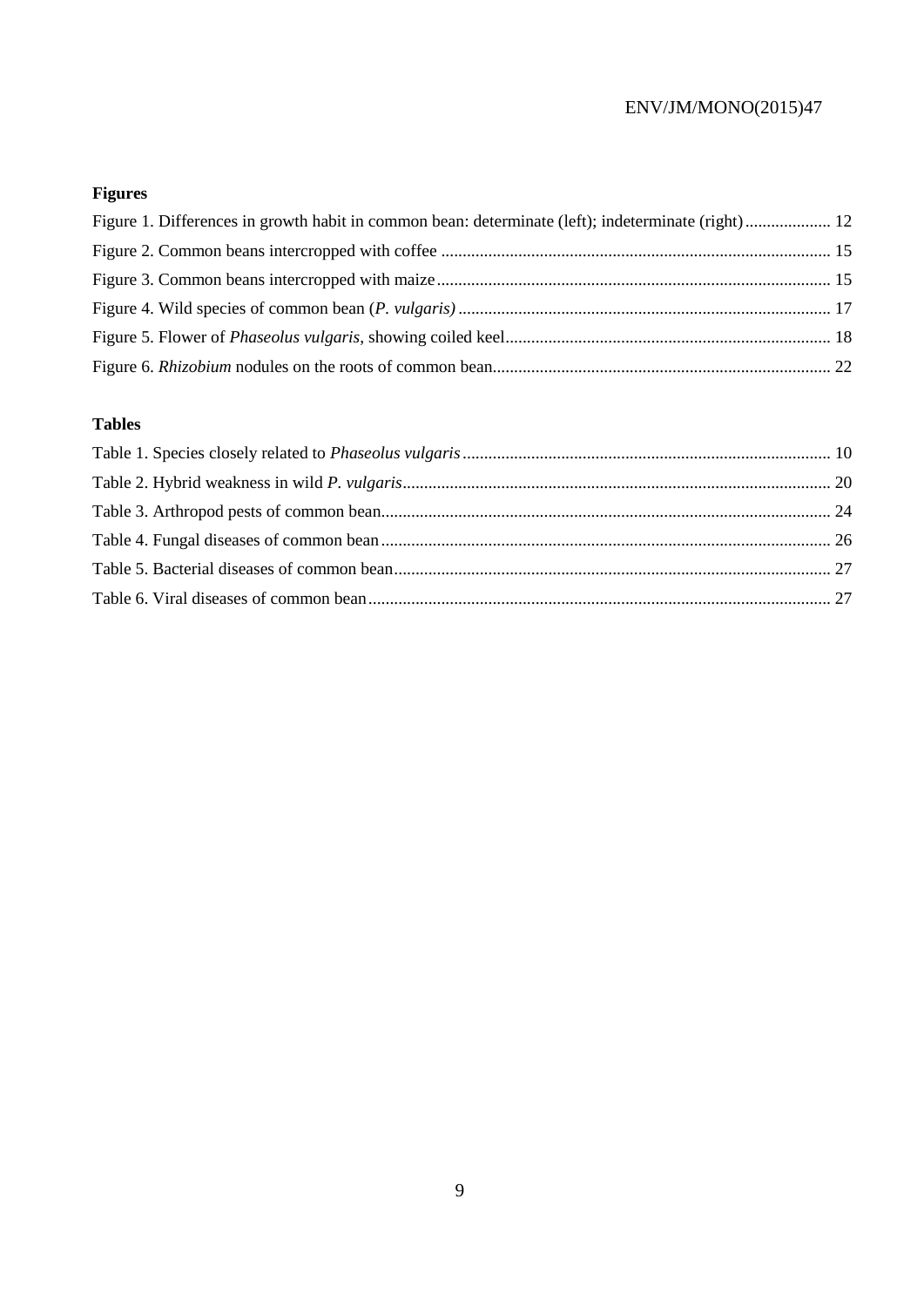# **Figures**

| Figure 1. Differences in growth habit in common bean: determinate (left); indeterminate (right) 12 |  |
|----------------------------------------------------------------------------------------------------|--|
|                                                                                                    |  |
|                                                                                                    |  |
|                                                                                                    |  |
|                                                                                                    |  |
|                                                                                                    |  |

# **Tables**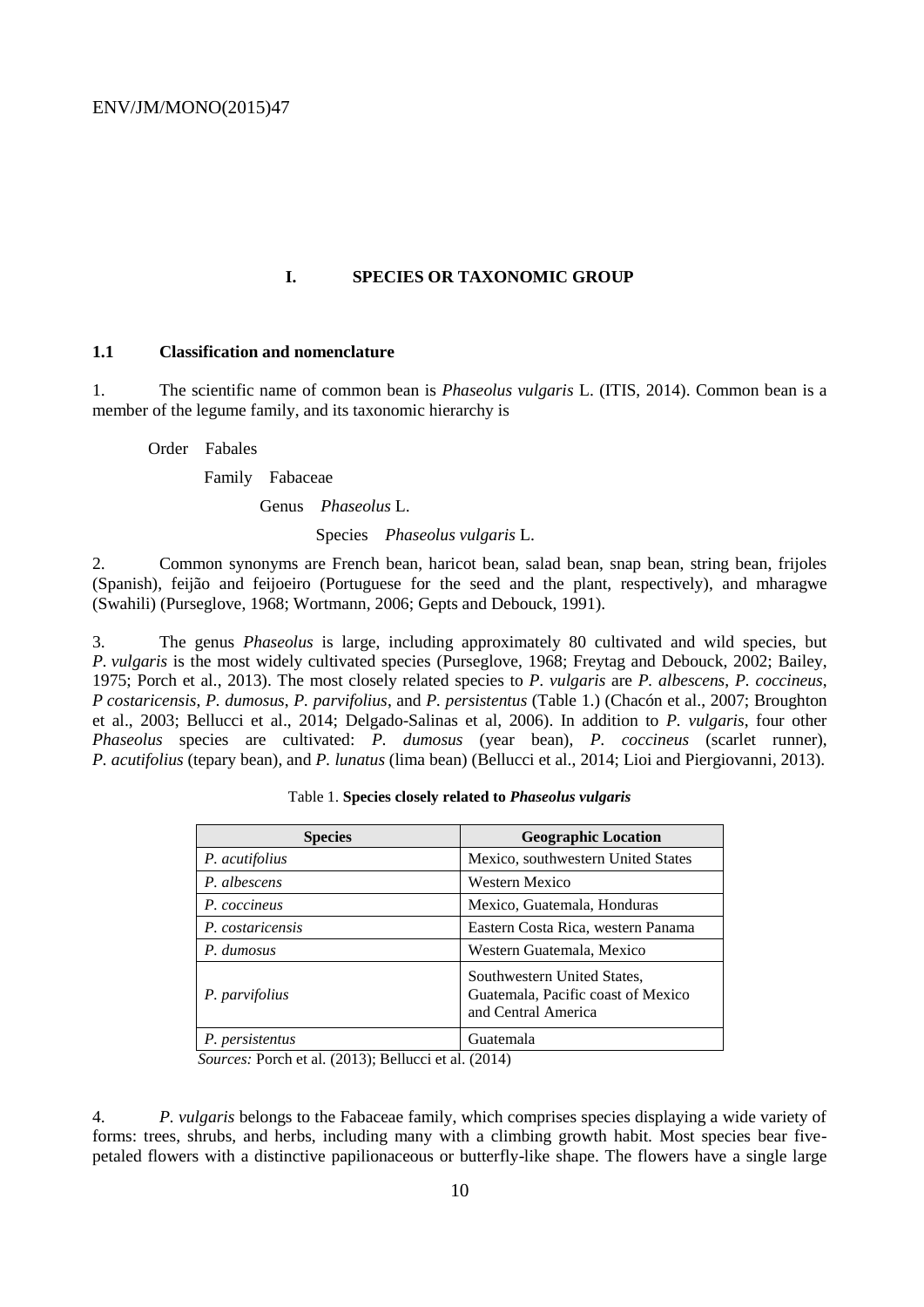#### **I. SPECIES OR TAXONOMIC GROUP**

#### **1.1 Classification and nomenclature**

1. The scientific name of common bean is *Phaseolus vulgaris* L. (ITIS, 2014). Common bean is a member of the legume family, and its taxonomic hierarchy is

Order Fabales

Family Fabaceae

Genus *Phaseolus* L.

Species *Phaseolus vulgaris* L.

2. Common synonyms are French bean, haricot bean, salad bean, snap bean, string bean, frijoles (Spanish), feijão and feijoeiro (Portuguese for the seed and the plant, respectively), and mharagwe (Swahili) (Purseglove, 1968; Wortmann, 2006; Gepts and Debouck, 1991).

3. The genus *Phaseolus* is large, including approximately 80 cultivated and wild species, but *P. vulgaris* is the most widely cultivated species (Purseglove, 1968; Freytag and Debouck, 2002; Bailey, 1975; Porch et al., 2013). The most closely related species to *P. vulgaris* are *P. albescens*, *P. coccineus*, *P costaricensis*, *P. dumosus*, *P. parvifolius*, and *P. persistentus* (Table 1.) (Chacón et al., 2007; Broughton et al., 2003; Bellucci et al., 2014; Delgado-Salinas et al, 2006). In addition to *P. vulgaris*, four other *Phaseolus* species are cultivated: *P. dumosus* (year bean), *P. coccineus* (scarlet runner), *P. acutifolius* (tepary bean), and *P. lunatus* (lima bean) (Bellucci et al., 2014; Lioi and Piergiovanni, 2013).

| <b>Species</b>   | <b>Geographic Location</b>                                                               |
|------------------|------------------------------------------------------------------------------------------|
| P. acutifolius   | Mexico, southwestern United States                                                       |
| P. albescens     | Western Mexico                                                                           |
| P. coccineus     | Mexico, Guatemala, Honduras                                                              |
| P. costaricensis | Eastern Costa Rica, western Panama                                                       |
| P. dumosus       | Western Guatemala, Mexico                                                                |
| P. parvifolius   | Southwestern United States,<br>Guatemala, Pacific coast of Mexico<br>and Central America |
| P. persistentus  | Guatemala                                                                                |

| Table 1. Species closely related to Phaseolus vulgaris |  |  |  |  |  |  |  |
|--------------------------------------------------------|--|--|--|--|--|--|--|
|--------------------------------------------------------|--|--|--|--|--|--|--|

*Sources:* Porch et al. (2013); Bellucci et al. (2014)

4. *P. vulgaris* belongs to the Fabaceae family, which comprises species displaying a wide variety of forms: trees, shrubs, and herbs, including many with a climbing growth habit. Most species bear fivepetaled flowers with a distinctive papilionaceous or butterfly-like shape. The flowers have a single large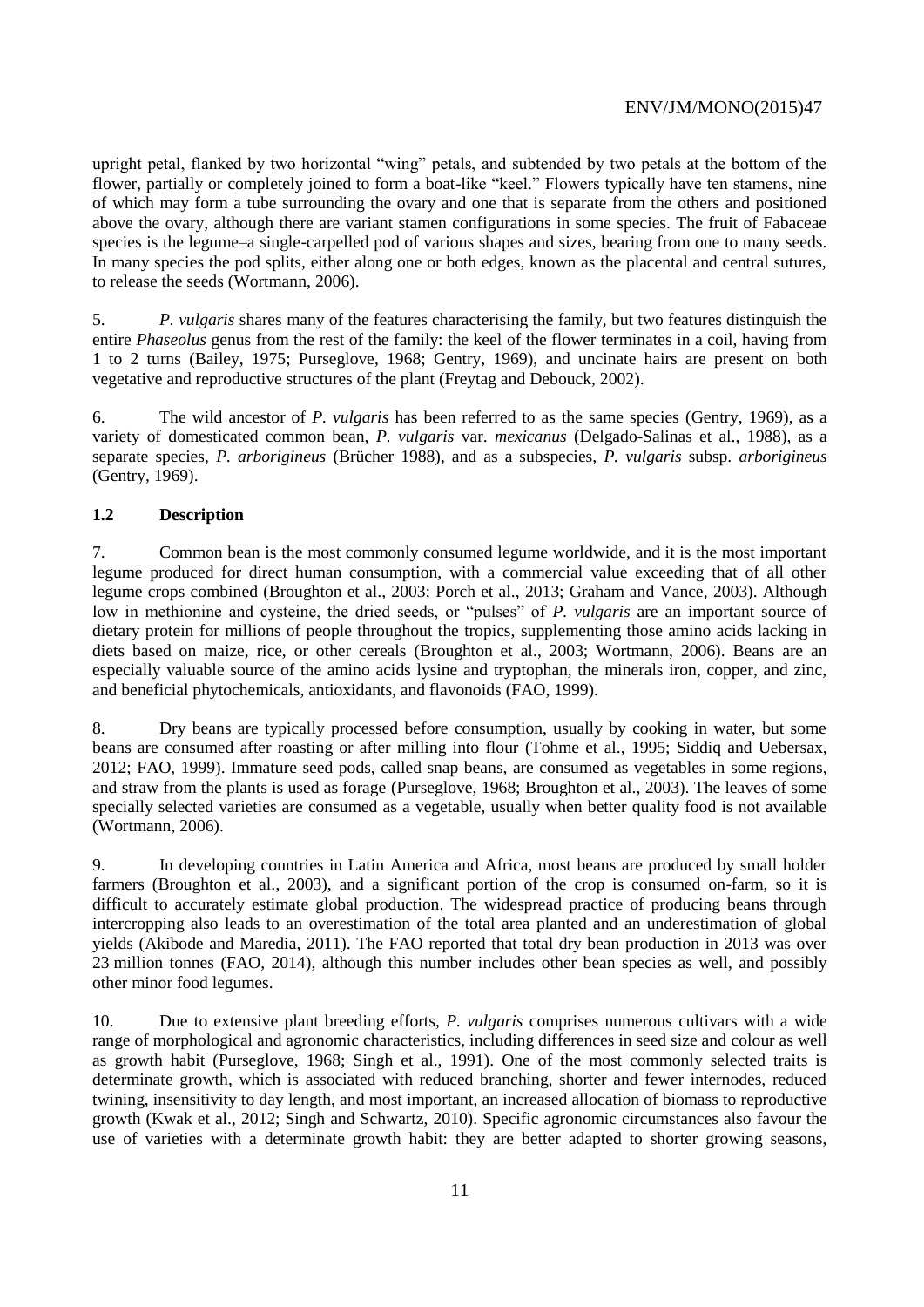upright petal, flanked by two horizontal "wing" petals, and subtended by two petals at the bottom of the flower, partially or completely joined to form a boat-like "keel." Flowers typically have ten stamens, nine of which may form a tube surrounding the ovary and one that is separate from the others and positioned above the ovary, although there are variant stamen configurations in some species. The fruit of Fabaceae species is the legume–a single-carpelled pod of various shapes and sizes, bearing from one to many seeds. In many species the pod splits, either along one or both edges, known as the placental and central sutures, to release the seeds (Wortmann, 2006).

5. *P. vulgaris* shares many of the features characterising the family, but two features distinguish the entire *Phaseolus* genus from the rest of the family: the keel of the flower terminates in a coil, having from 1 to 2 turns (Bailey, 1975; Purseglove, 1968; Gentry, 1969), and uncinate hairs are present on both vegetative and reproductive structures of the plant (Freytag and Debouck, 2002).

6. The wild ancestor of *P. vulgaris* has been referred to as the same species (Gentry, 1969), as a variety of domesticated common bean, *P. vulgaris* var. *mexicanus* (Delgado-Salinas et al., 1988), as a separate species, *P. arborigineus* (Brücher 1988), and as a subspecies, *P. vulgaris* subsp. *arborigineus* (Gentry, 1969).

## **1.2 Description**

7. Common bean is the most commonly consumed legume worldwide, and it is the most important legume produced for direct human consumption, with a commercial value exceeding that of all other legume crops combined (Broughton et al., 2003; Porch et al., 2013; Graham and Vance, 2003). Although low in methionine and cysteine, the dried seeds, or "pulses" of *P. vulgaris* are an important source of dietary protein for millions of people throughout the tropics, supplementing those amino acids lacking in diets based on maize, rice, or other cereals (Broughton et al., 2003; Wortmann, 2006). Beans are an especially valuable source of the amino acids lysine and tryptophan, the minerals iron, copper, and zinc, and beneficial phytochemicals, antioxidants, and flavonoids (FAO, 1999).

8. Dry beans are typically processed before consumption, usually by cooking in water, but some beans are consumed after roasting or after milling into flour (Tohme et al., 1995; Siddiq and Uebersax, 2012; FAO, 1999). Immature seed pods, called snap beans, are consumed as vegetables in some regions, and straw from the plants is used as forage (Purseglove, 1968; Broughton et al., 2003). The leaves of some specially selected varieties are consumed as a vegetable, usually when better quality food is not available (Wortmann, 2006).

9. In developing countries in Latin America and Africa, most beans are produced by small holder farmers (Broughton et al., 2003), and a significant portion of the crop is consumed on-farm, so it is difficult to accurately estimate global production. The widespread practice of producing beans through intercropping also leads to an overestimation of the total area planted and an underestimation of global yields (Akibode and Maredia, 2011). The FAO reported that total dry bean production in 2013 was over 23 million tonnes (FAO, 2014), although this number includes other bean species as well, and possibly other minor food legumes.

10. Due to extensive plant breeding efforts, *P. vulgaris* comprises numerous cultivars with a wide range of morphological and agronomic characteristics, including differences in seed size and colour as well as growth habit (Purseglove, 1968; Singh et al., 1991). One of the most commonly selected traits is determinate growth, which is associated with reduced branching, shorter and fewer internodes, reduced twining, insensitivity to day length, and most important, an increased allocation of biomass to reproductive growth (Kwak et al., 2012; Singh and Schwartz, 2010). Specific agronomic circumstances also favour the use of varieties with a determinate growth habit: they are better adapted to shorter growing seasons,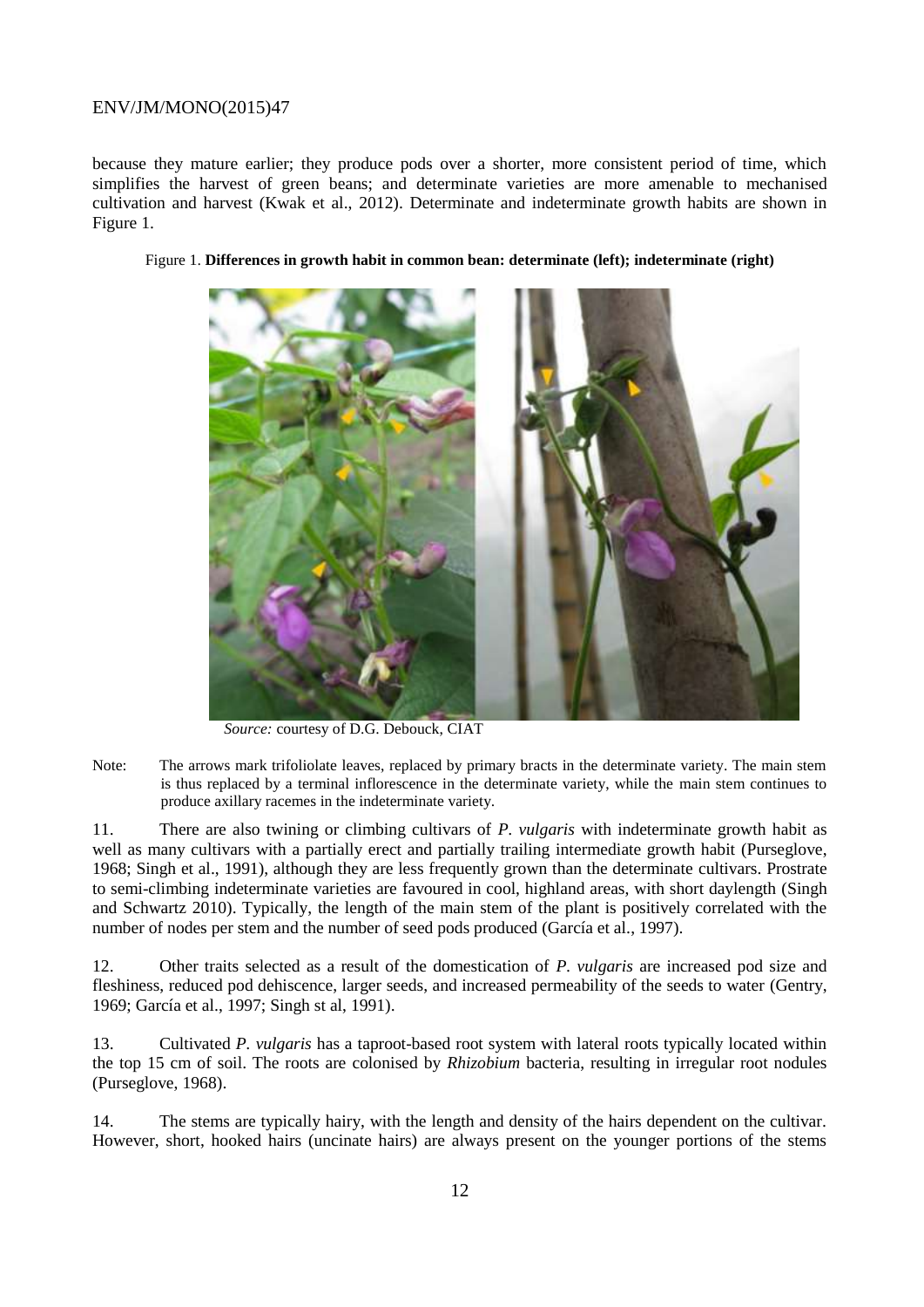because they mature earlier; they produce pods over a shorter, more consistent period of time, which simplifies the harvest of green beans; and determinate varieties are more amenable to mechanised cultivation and harvest (Kwak et al., 2012). Determinate and indeterminate growth habits are shown in Figure 1.



#### Figure 1. **Differences in growth habit in common bean: determinate (left); indeterminate (right)**

*Source:* courtesy of D.G. Debouck, CIAT

Note: The arrows mark trifoliolate leaves, replaced by primary bracts in the determinate variety. The main stem is thus replaced by a terminal inflorescence in the determinate variety, while the main stem continues to produce axillary racemes in the indeterminate variety.

11. There are also twining or climbing cultivars of *P. vulgaris* with indeterminate growth habit as well as many cultivars with a partially erect and partially trailing intermediate growth habit (Purseglove, 1968; Singh et al., 1991), although they are less frequently grown than the determinate cultivars. Prostrate to semi-climbing indeterminate varieties are favoured in cool, highland areas, with short daylength (Singh and Schwartz 2010). Typically, the length of the main stem of the plant is positively correlated with the number of nodes per stem and the number of seed pods produced (García et al., 1997).

12. Other traits selected as a result of the domestication of *P. vulgaris* are increased pod size and fleshiness, reduced pod dehiscence, larger seeds, and increased permeability of the seeds to water (Gentry, 1969; García et al., 1997; Singh st al, 1991).

13. Cultivated *P. vulgaris* has a taproot-based root system with lateral roots typically located within the top 15 cm of soil. The roots are colonised by *Rhizobium* bacteria, resulting in irregular root nodules (Purseglove, 1968).

14. The stems are typically hairy, with the length and density of the hairs dependent on the cultivar. However, short, hooked hairs (uncinate hairs) are always present on the younger portions of the stems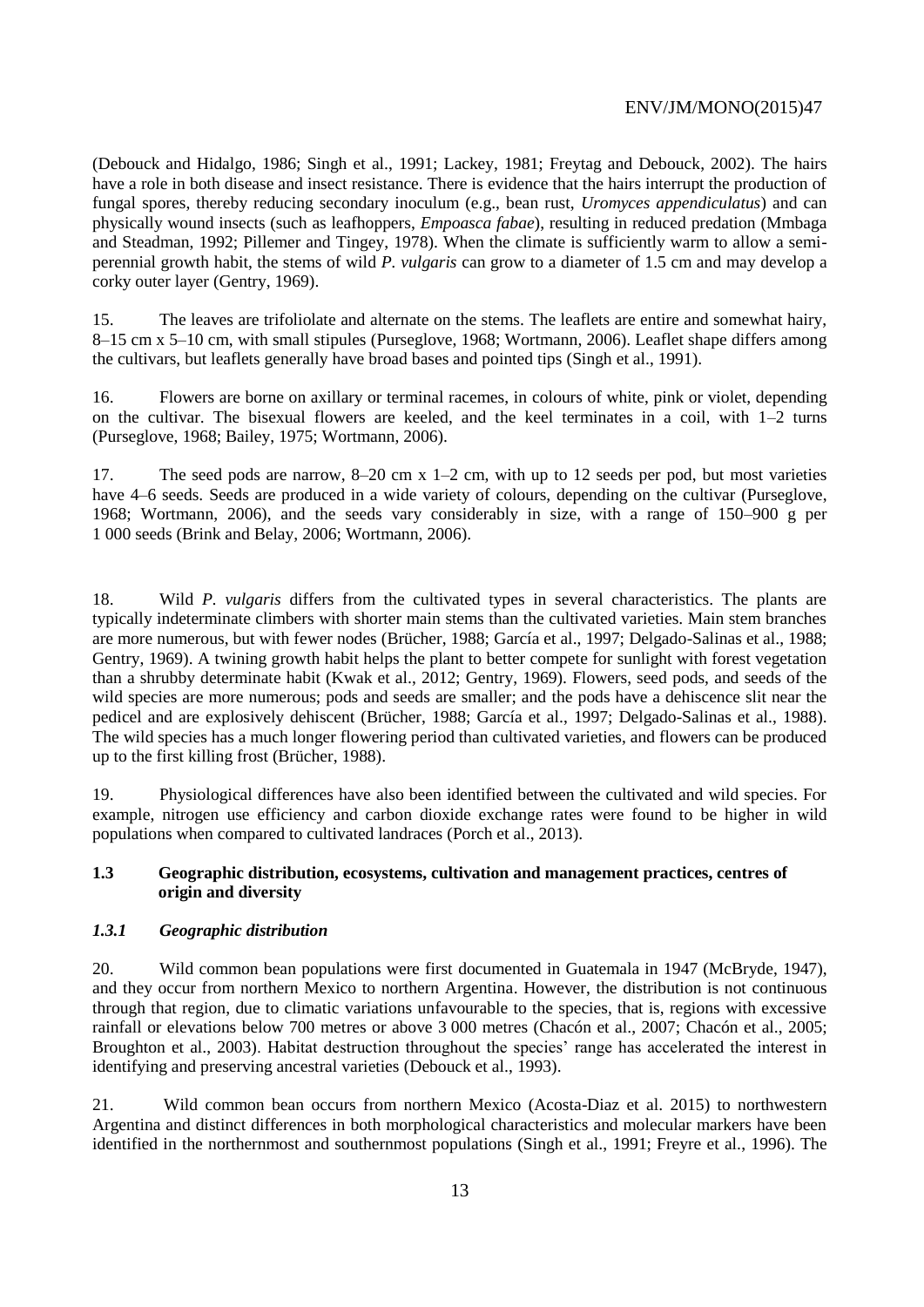(Debouck and Hidalgo, 1986; Singh et al., 1991; Lackey, 1981; Freytag and Debouck, 2002). The hairs have a role in both disease and insect resistance. There is evidence that the hairs interrupt the production of fungal spores, thereby reducing secondary inoculum (e.g., bean rust, *Uromyces appendiculatus*) and can physically wound insects (such as leafhoppers, *Empoasca fabae*), resulting in reduced predation (Mmbaga and Steadman, 1992; Pillemer and Tingey, 1978). When the climate is sufficiently warm to allow a semiperennial growth habit, the stems of wild *P. vulgaris* can grow to a diameter of 1.5 cm and may develop a corky outer layer (Gentry, 1969).

15. The leaves are trifoliolate and alternate on the stems. The leaflets are entire and somewhat hairy, 8–15 cm x 5–10 cm, with small stipules (Purseglove, 1968; Wortmann, 2006). Leaflet shape differs among the cultivars, but leaflets generally have broad bases and pointed tips (Singh et al., 1991).

16. Flowers are borne on axillary or terminal racemes, in colours of white, pink or violet, depending on the cultivar. The bisexual flowers are keeled, and the keel terminates in a coil, with  $1-2$  turns (Purseglove, 1968; Bailey, 1975; Wortmann, 2006).

17. The seed pods are narrow, 8–20 cm x 1–2 cm, with up to 12 seeds per pod, but most varieties have 4–6 seeds. Seeds are produced in a wide variety of colours, depending on the cultivar (Purseglove, 1968; Wortmann, 2006), and the seeds vary considerably in size, with a range of 150–900 g per 1 000 seeds (Brink and Belay, 2006; Wortmann, 2006).

18. Wild *P. vulgaris* differs from the cultivated types in several characteristics. The plants are typically indeterminate climbers with shorter main stems than the cultivated varieties. Main stem branches are more numerous, but with fewer nodes (Brücher, 1988; García et al., 1997; Delgado-Salinas et al., 1988; Gentry, 1969). A twining growth habit helps the plant to better compete for sunlight with forest vegetation than a shrubby determinate habit (Kwak et al., 2012; Gentry, 1969). Flowers, seed pods, and seeds of the wild species are more numerous; pods and seeds are smaller; and the pods have a dehiscence slit near the pedicel and are explosively dehiscent (Brücher, 1988; García et al., 1997; Delgado-Salinas et al., 1988). The wild species has a much longer flowering period than cultivated varieties, and flowers can be produced up to the first killing frost (Brücher, 1988).

19. Physiological differences have also been identified between the cultivated and wild species. For example, nitrogen use efficiency and carbon dioxide exchange rates were found to be higher in wild populations when compared to cultivated landraces (Porch et al., 2013).

#### **1.3 Geographic distribution, ecosystems, cultivation and management practices, centres of origin and diversity**

#### *1.3.1 Geographic distribution*

20. Wild common bean populations were first documented in Guatemala in 1947 (McBryde, 1947), and they occur from northern Mexico to northern Argentina. However, the distribution is not continuous through that region, due to climatic variations unfavourable to the species, that is, regions with excessive rainfall or elevations below 700 metres or above 3 000 metres (Chacón et al., 2007; Chacón et al., 2005; Broughton et al., 2003). Habitat destruction throughout the species' range has accelerated the interest in identifying and preserving ancestral varieties (Debouck et al., 1993).

21. Wild common bean occurs from northern Mexico (Acosta-Diaz et al. 2015) to northwestern Argentina and distinct differences in both morphological characteristics and molecular markers have been identified in the northernmost and southernmost populations (Singh et al., 1991; Freyre et al., 1996). The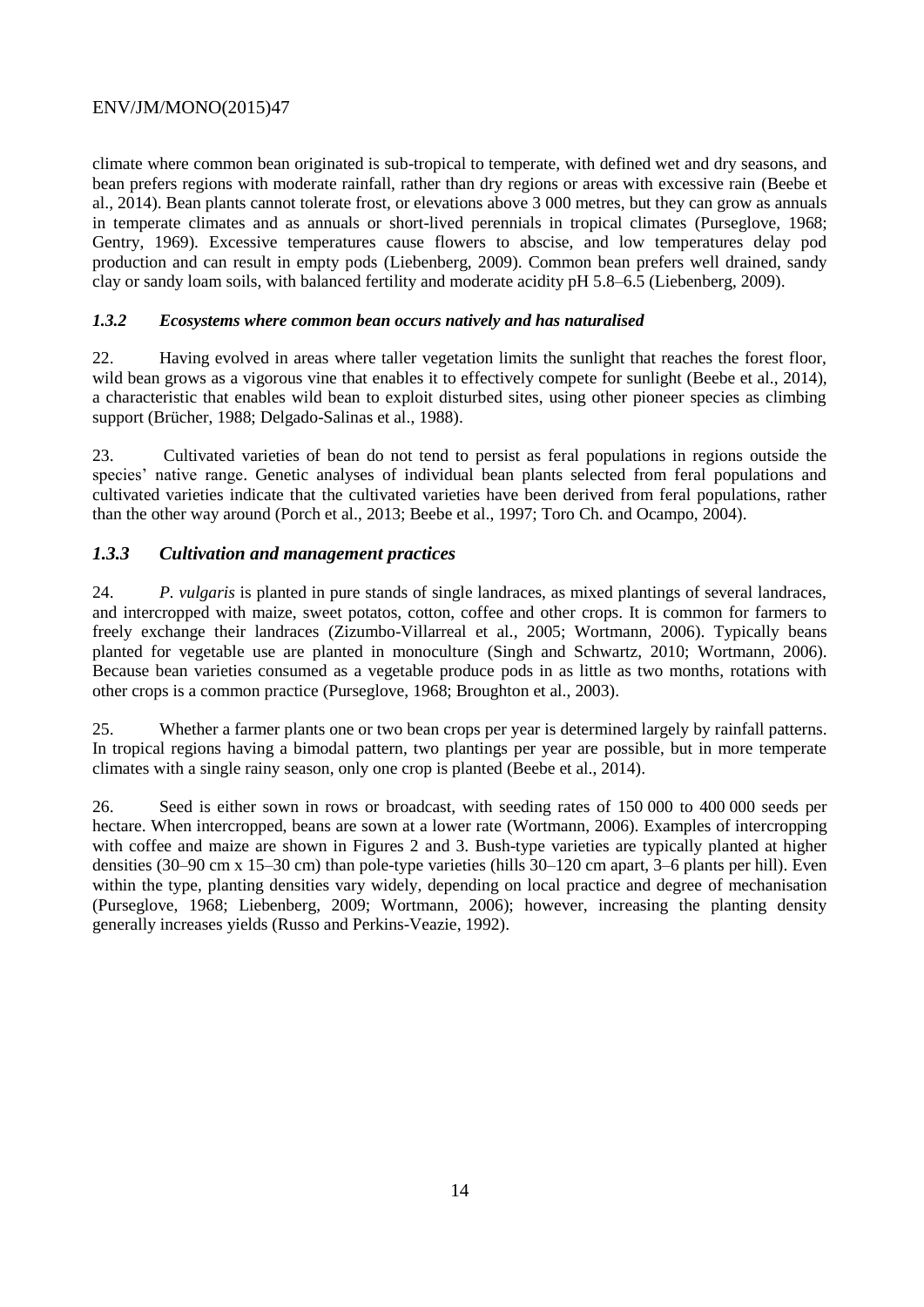climate where common bean originated is sub-tropical to temperate, with defined wet and dry seasons, and bean prefers regions with moderate rainfall, rather than dry regions or areas with excessive rain (Beebe et al., 2014). Bean plants cannot tolerate frost, or elevations above 3 000 metres, but they can grow as annuals in temperate climates and as annuals or short-lived perennials in tropical climates (Purseglove, 1968; Gentry, 1969). Excessive temperatures cause flowers to abscise, and low temperatures delay pod production and can result in empty pods (Liebenberg, 2009). Common bean prefers well drained, sandy clay or sandy loam soils, with balanced fertility and moderate acidity pH 5.8–6.5 (Liebenberg, 2009).

## *1.3.2 Ecosystems where common bean occurs natively and has naturalised*

22. Having evolved in areas where taller vegetation limits the sunlight that reaches the forest floor, wild bean grows as a vigorous vine that enables it to effectively compete for sunlight (Beebe et al., 2014), a characteristic that enables wild bean to exploit disturbed sites, using other pioneer species as climbing support (Brücher, 1988; Delgado-Salinas et al., 1988).

23. Cultivated varieties of bean do not tend to persist as feral populations in regions outside the species' native range. Genetic analyses of individual bean plants selected from feral populations and cultivated varieties indicate that the cultivated varieties have been derived from feral populations, rather than the other way around (Porch et al., 2013; Beebe et al., 1997; Toro Ch. and Ocampo, 2004).

# *1.3.3 Cultivation and management practices*

24. *P. vulgaris* is planted in pure stands of single landraces, as mixed plantings of several landraces, and intercropped with maize, sweet potatos, cotton, coffee and other crops. It is common for farmers to freely exchange their landraces (Zizumbo-Villarreal et al., 2005; Wortmann, 2006). Typically beans planted for vegetable use are planted in monoculture (Singh and Schwartz, 2010; Wortmann, 2006). Because bean varieties consumed as a vegetable produce pods in as little as two months, rotations with other crops is a common practice (Purseglove, 1968; Broughton et al., 2003).

25. Whether a farmer plants one or two bean crops per year is determined largely by rainfall patterns. In tropical regions having a bimodal pattern, two plantings per year are possible, but in more temperate climates with a single rainy season, only one crop is planted (Beebe et al., 2014).

26. Seed is either sown in rows or broadcast, with seeding rates of 150 000 to 400 000 seeds per hectare. When intercropped, beans are sown at a lower rate (Wortmann, 2006). Examples of intercropping with coffee and maize are shown in Figures 2 and 3. Bush-type varieties are typically planted at higher densities (30–90 cm x 15–30 cm) than pole-type varieties (hills 30–120 cm apart, 3–6 plants per hill). Even within the type, planting densities vary widely, depending on local practice and degree of mechanisation (Purseglove, 1968; Liebenberg, 2009; Wortmann, 2006); however, increasing the planting density generally increases yields (Russo and Perkins-Veazie, 1992).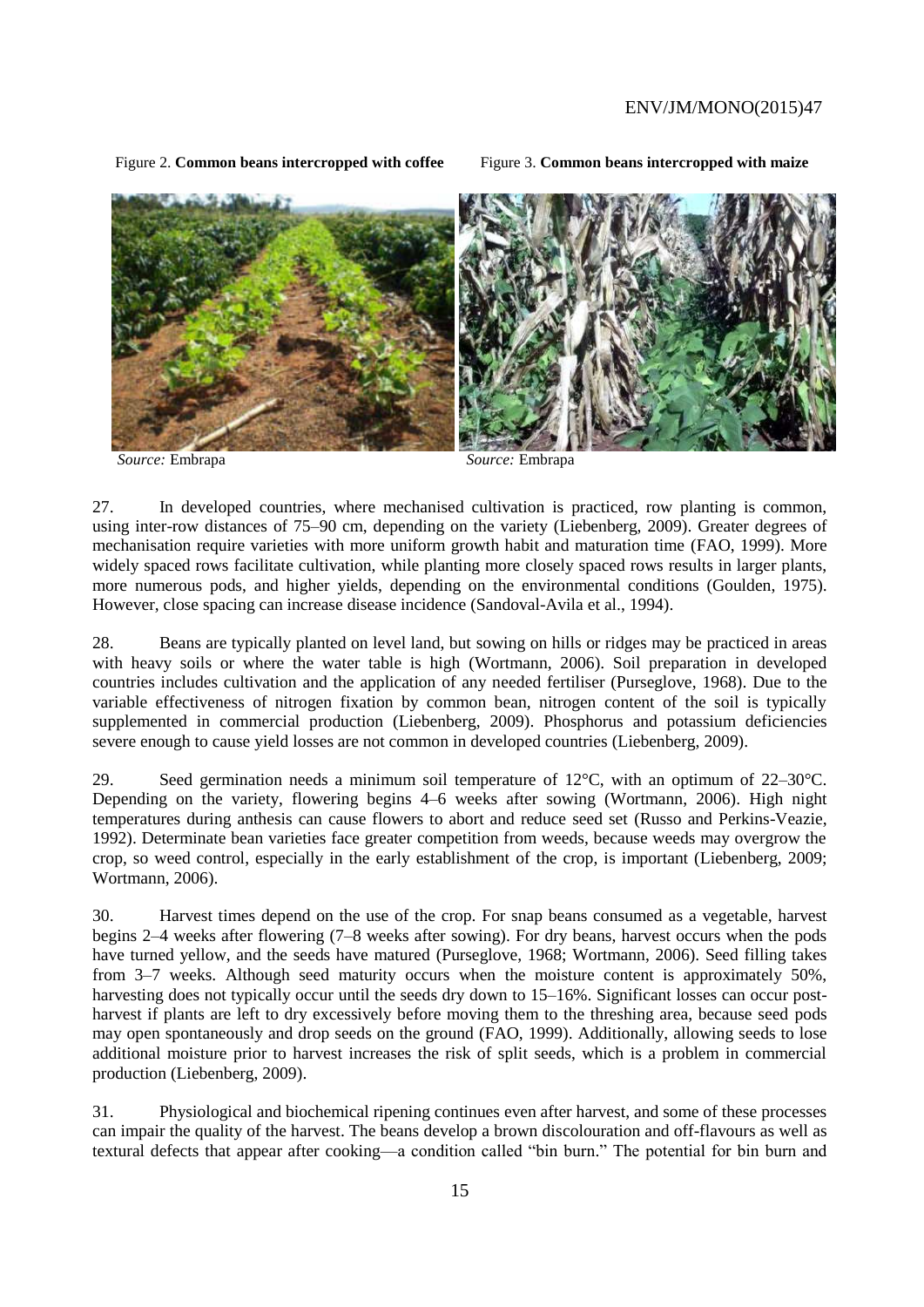Figure 2. **Common beans intercropped with coffee** Figure 3. **Common beans intercropped with maize**

*Source:* Embrapa *Source:* Embrapa

27. In developed countries, where mechanised cultivation is practiced, row planting is common, using inter-row distances of 75–90 cm, depending on the variety (Liebenberg, 2009). Greater degrees of mechanisation require varieties with more uniform growth habit and maturation time (FAO, 1999). More widely spaced rows facilitate cultivation, while planting more closely spaced rows results in larger plants, more numerous pods, and higher yields, depending on the environmental conditions (Goulden, 1975). However, close spacing can increase disease incidence (Sandoval-Avila et al., 1994).

28. Beans are typically planted on level land, but sowing on hills or ridges may be practiced in areas with heavy soils or where the water table is high (Wortmann, 2006). Soil preparation in developed countries includes cultivation and the application of any needed fertiliser (Purseglove, 1968). Due to the variable effectiveness of nitrogen fixation by common bean, nitrogen content of the soil is typically supplemented in commercial production (Liebenberg, 2009). Phosphorus and potassium deficiencies severe enough to cause yield losses are not common in developed countries (Liebenberg, 2009).

29. Seed germination needs a minimum soil temperature of  $12^{\circ}$ C, with an optimum of  $22-30^{\circ}$ C. Depending on the variety, flowering begins 4–6 weeks after sowing (Wortmann, 2006). High night temperatures during anthesis can cause flowers to abort and reduce seed set (Russo and Perkins-Veazie, 1992). Determinate bean varieties face greater competition from weeds, because weeds may overgrow the crop, so weed control, especially in the early establishment of the crop, is important (Liebenberg, 2009; Wortmann, 2006).

30. Harvest times depend on the use of the crop. For snap beans consumed as a vegetable, harvest begins 2–4 weeks after flowering (7–8 weeks after sowing). For dry beans, harvest occurs when the pods have turned yellow, and the seeds have matured (Purseglove, 1968; Wortmann, 2006). Seed filling takes from 3–7 weeks. Although seed maturity occurs when the moisture content is approximately 50%, harvesting does not typically occur until the seeds dry down to 15–16%. Significant losses can occur postharvest if plants are left to dry excessively before moving them to the threshing area, because seed pods may open spontaneously and drop seeds on the ground (FAO, 1999). Additionally, allowing seeds to lose additional moisture prior to harvest increases the risk of split seeds, which is a problem in commercial production (Liebenberg, 2009).

31. Physiological and biochemical ripening continues even after harvest, and some of these processes can impair the quality of the harvest. The beans develop a brown discolouration and off-flavours as well as textural defects that appear after cooking—a condition called "bin burn." The potential for bin burn and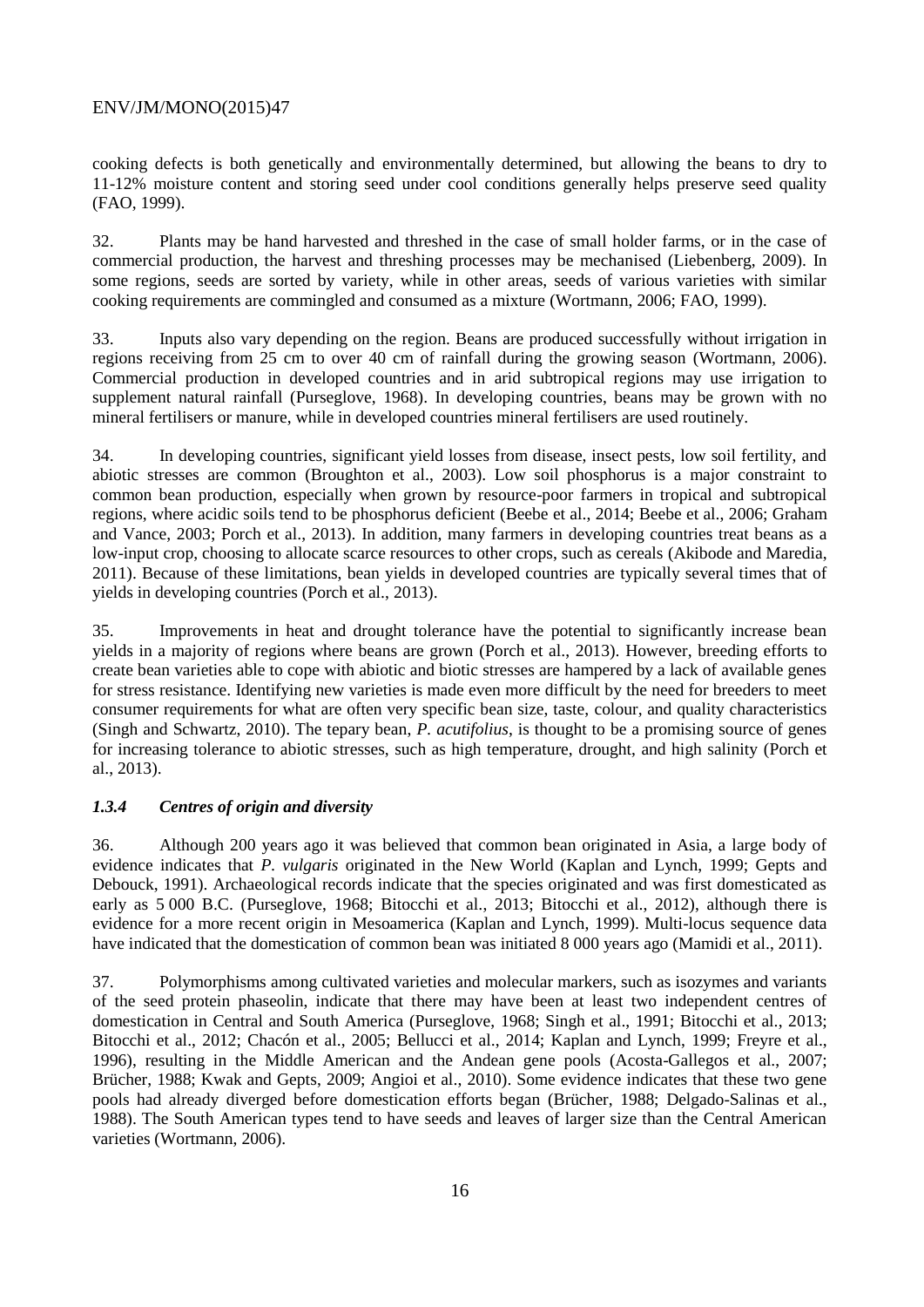cooking defects is both genetically and environmentally determined, but allowing the beans to dry to 11-12% moisture content and storing seed under cool conditions generally helps preserve seed quality (FAO, 1999).

32. Plants may be hand harvested and threshed in the case of small holder farms, or in the case of commercial production, the harvest and threshing processes may be mechanised (Liebenberg, 2009). In some regions, seeds are sorted by variety, while in other areas, seeds of various varieties with similar cooking requirements are commingled and consumed as a mixture (Wortmann, 2006; FAO, 1999).

33. Inputs also vary depending on the region. Beans are produced successfully without irrigation in regions receiving from 25 cm to over 40 cm of rainfall during the growing season (Wortmann, 2006). Commercial production in developed countries and in arid subtropical regions may use irrigation to supplement natural rainfall (Purseglove, 1968). In developing countries, beans may be grown with no mineral fertilisers or manure, while in developed countries mineral fertilisers are used routinely.

34. In developing countries, significant yield losses from disease, insect pests, low soil fertility, and abiotic stresses are common (Broughton et al., 2003). Low soil phosphorus is a major constraint to common bean production, especially when grown by resource-poor farmers in tropical and subtropical regions, where acidic soils tend to be phosphorus deficient (Beebe et al., 2014; Beebe et al., 2006; Graham and Vance, 2003; Porch et al., 2013). In addition, many farmers in developing countries treat beans as a low-input crop, choosing to allocate scarce resources to other crops, such as cereals (Akibode and Maredia, 2011). Because of these limitations, bean yields in developed countries are typically several times that of yields in developing countries (Porch et al., 2013).

35. Improvements in heat and drought tolerance have the potential to significantly increase bean yields in a majority of regions where beans are grown (Porch et al., 2013). However, breeding efforts to create bean varieties able to cope with abiotic and biotic stresses are hampered by a lack of available genes for stress resistance. Identifying new varieties is made even more difficult by the need for breeders to meet consumer requirements for what are often very specific bean size, taste, colour, and quality characteristics (Singh and Schwartz, 2010). The tepary bean, *P. acutifolius*, is thought to be a promising source of genes for increasing tolerance to abiotic stresses, such as high temperature, drought, and high salinity (Porch et al., 2013).

#### *1.3.4 Centres of origin and diversity*

36. Although 200 years ago it was believed that common bean originated in Asia, a large body of evidence indicates that *P. vulgaris* originated in the New World (Kaplan and Lynch, 1999; Gepts and Debouck, 1991). Archaeological records indicate that the species originated and was first domesticated as early as 5 000 B.C. (Purseglove, 1968; Bitocchi et al., 2013; Bitocchi et al., 2012), although there is evidence for a more recent origin in Mesoamerica (Kaplan and Lynch, 1999). Multi-locus sequence data have indicated that the domestication of common bean was initiated 8 000 years ago (Mamidi et al., 2011).

37. Polymorphisms among cultivated varieties and molecular markers, such as isozymes and variants of the seed protein phaseolin, indicate that there may have been at least two independent centres of domestication in Central and South America (Purseglove, 1968; Singh et al., 1991; Bitocchi et al., 2013; Bitocchi et al., 2012; Chacón et al., 2005; Bellucci et al., 2014; Kaplan and Lynch, 1999; Freyre et al., 1996), resulting in the Middle American and the Andean gene pools (Acosta-Gallegos et al., 2007; Brücher, 1988; Kwak and Gepts, 2009; Angioi et al., 2010). Some evidence indicates that these two gene pools had already diverged before domestication efforts began (Brücher, 1988; Delgado-Salinas et al., 1988). The South American types tend to have seeds and leaves of larger size than the Central American varieties (Wortmann, 2006).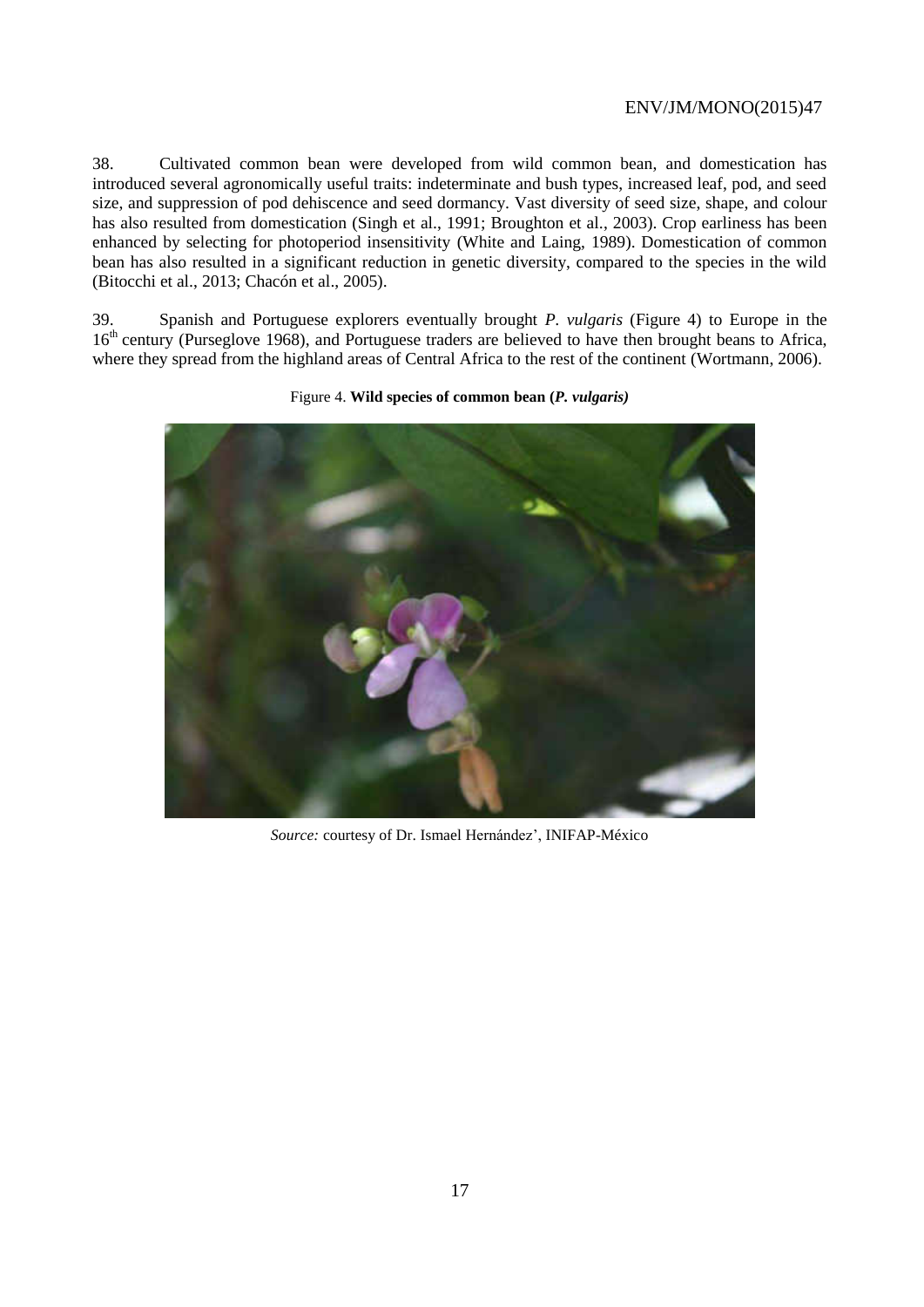38. Cultivated common bean were developed from wild common bean, and domestication has introduced several agronomically useful traits: indeterminate and bush types, increased leaf, pod, and seed size, and suppression of pod dehiscence and seed dormancy. Vast diversity of seed size, shape, and colour has also resulted from domestication (Singh et al., 1991; Broughton et al., 2003). Crop earliness has been enhanced by selecting for photoperiod insensitivity (White and Laing, 1989). Domestication of common bean has also resulted in a significant reduction in genetic diversity, compared to the species in the wild (Bitocchi et al., 2013; Chacón et al., 2005).

39. Spanish and Portuguese explorers eventually brought *P. vulgaris* (Figure 4) to Europe in the 16<sup>th</sup> century (Purseglove 1968), and Portuguese traders are believed to have then brought beans to Africa, where they spread from the highland areas of Central Africa to the rest of the continent (Wortmann, 2006).



Figure 4. **Wild species of common bean (***P. vulgaris)*

*Source:* courtesy of Dr. Ismael Hernández', INIFAP-México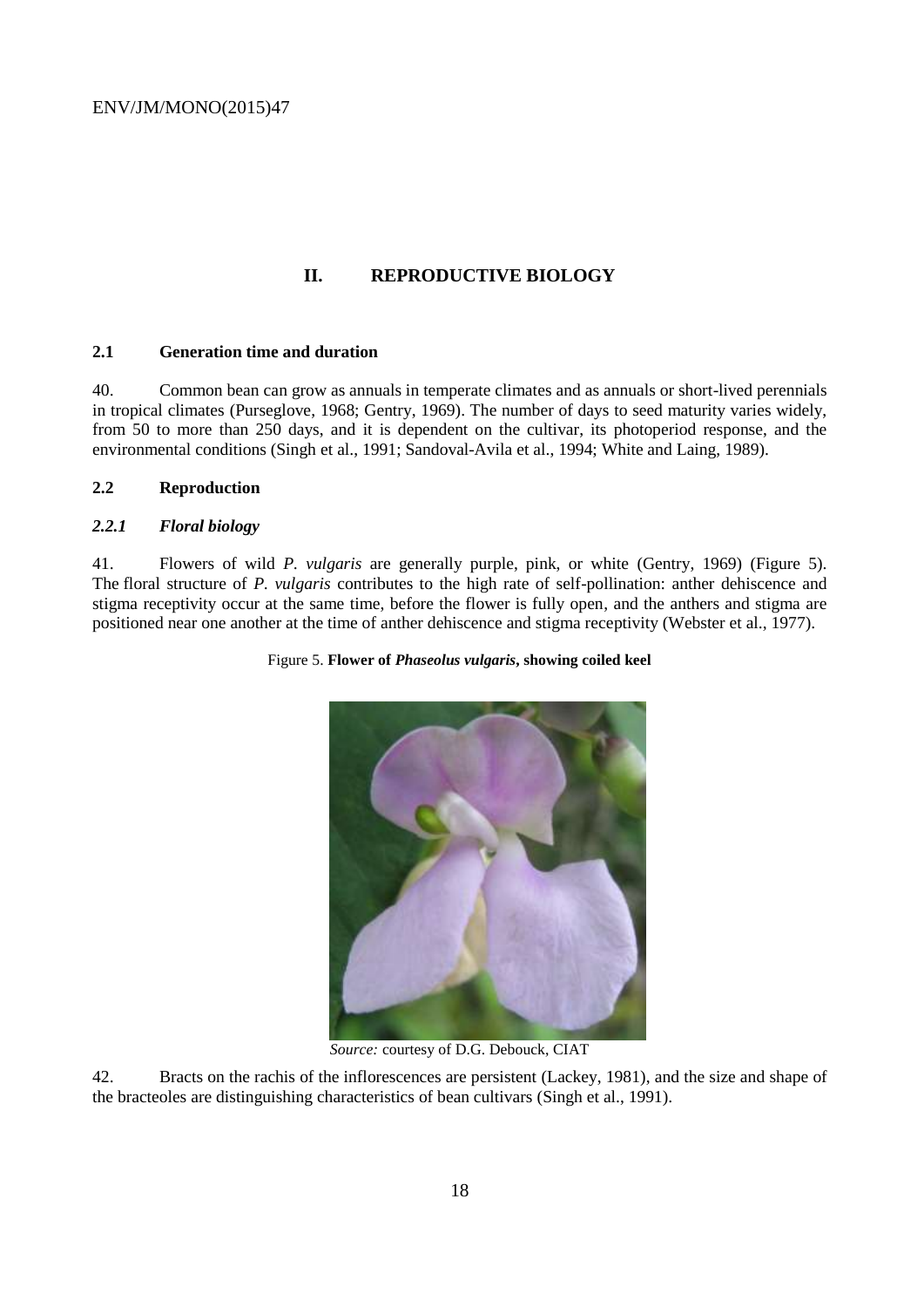## **II. REPRODUCTIVE BIOLOGY**

#### **2.1 Generation time and duration**

40. Common bean can grow as annuals in temperate climates and as annuals or short-lived perennials in tropical climates (Purseglove, 1968; Gentry, 1969). The number of days to seed maturity varies widely, from 50 to more than 250 days, and it is dependent on the cultivar, its photoperiod response, and the environmental conditions (Singh et al., 1991; Sandoval-Avila et al., 1994; White and Laing, 1989).

### **2.2 Reproduction**

#### *2.2.1 Floral biology*

41. Flowers of wild *P. vulgaris* are generally purple, pink, or white (Gentry, 1969) (Figure 5). The floral structure of *P. vulgaris* contributes to the high rate of self-pollination: anther dehiscence and stigma receptivity occur at the same time, before the flower is fully open, and the anthers and stigma are positioned near one another at the time of anther dehiscence and stigma receptivity (Webster et al., 1977).





*Source:* courtesy of D.G. Debouck, CIAT

42. Bracts on the rachis of the inflorescences are persistent (Lackey, 1981), and the size and shape of the bracteoles are distinguishing characteristics of bean cultivars (Singh et al., 1991).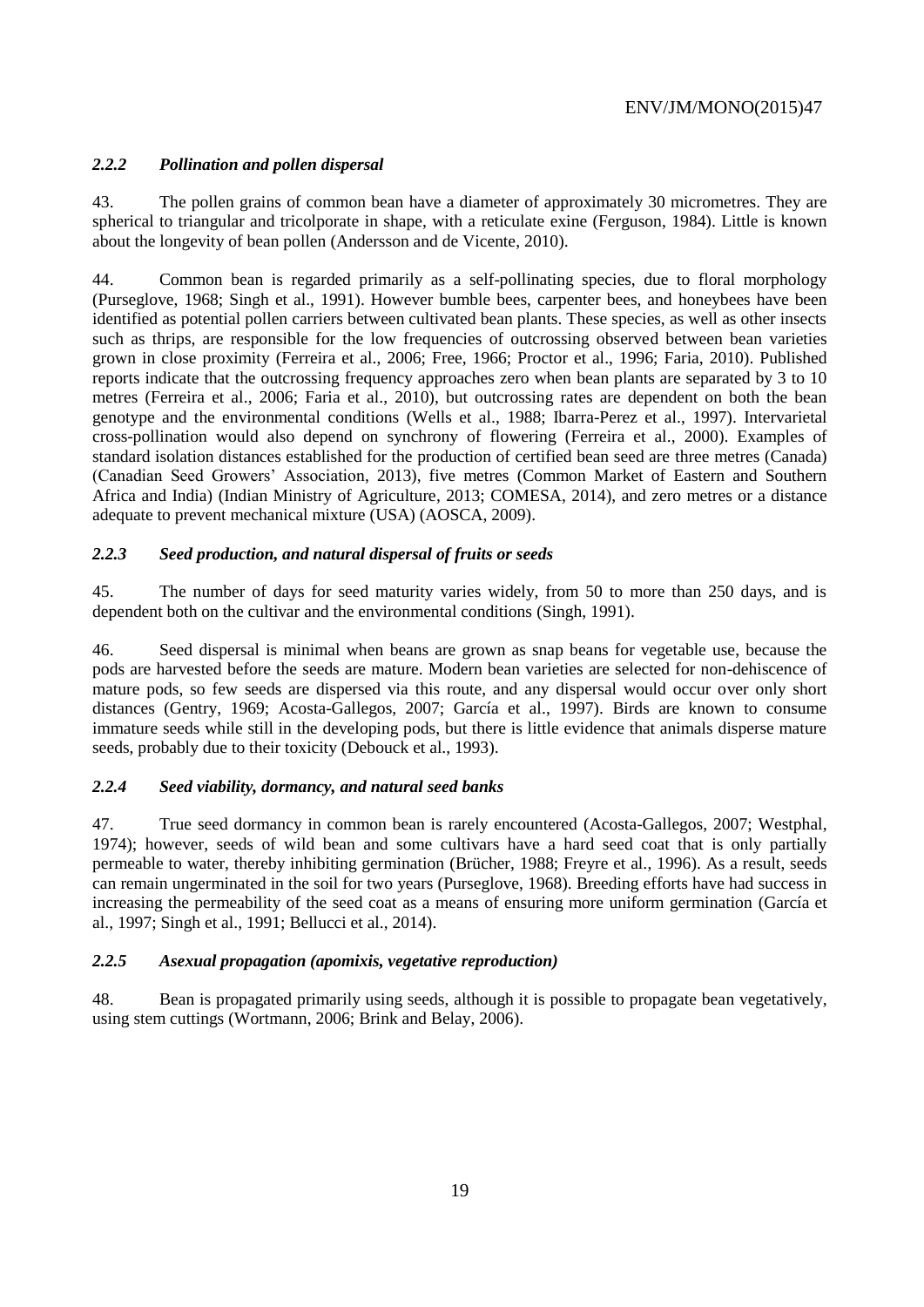## *2.2.2 Pollination and pollen dispersal*

43. The pollen grains of common bean have a diameter of approximately 30 micrometres. They are spherical to triangular and tricolporate in shape, with a reticulate exine (Ferguson, 1984). Little is known about the longevity of bean pollen (Andersson and de Vicente, 2010).

44. Common bean is regarded primarily as a self-pollinating species, due to floral morphology (Purseglove, 1968; Singh et al., 1991). However bumble bees, carpenter bees, and honeybees have been identified as potential pollen carriers between cultivated bean plants. These species, as well as other insects such as thrips, are responsible for the low frequencies of outcrossing observed between bean varieties grown in close proximity (Ferreira et al., 2006; Free, 1966; Proctor et al., 1996; Faria, 2010). Published reports indicate that the outcrossing frequency approaches zero when bean plants are separated by 3 to 10 metres (Ferreira et al., 2006; Faria et al., 2010), but outcrossing rates are dependent on both the bean genotype and the environmental conditions (Wells et al., 1988; Ibarra-Perez et al., 1997). Intervarietal cross-pollination would also depend on synchrony of flowering (Ferreira et al., 2000). Examples of standard isolation distances established for the production of certified bean seed are three metres (Canada) (Canadian Seed Growers' Association, 2013), five metres (Common Market of Eastern and Southern Africa and India) (Indian Ministry of Agriculture, 2013; COMESA, 2014), and zero metres or a distance adequate to prevent mechanical mixture (USA) (AOSCA, 2009).

## *2.2.3 Seed production, and natural dispersal of fruits or seeds*

45. The number of days for seed maturity varies widely, from 50 to more than 250 days, and is dependent both on the cultivar and the environmental conditions (Singh, 1991).

46. Seed dispersal is minimal when beans are grown as snap beans for vegetable use, because the pods are harvested before the seeds are mature. Modern bean varieties are selected for non-dehiscence of mature pods, so few seeds are dispersed via this route, and any dispersal would occur over only short distances (Gentry, 1969; Acosta-Gallegos, 2007; García et al., 1997). Birds are known to consume immature seeds while still in the developing pods, but there is little evidence that animals disperse mature seeds, probably due to their toxicity (Debouck et al., 1993).

#### *2.2.4 Seed viability, dormancy, and natural seed banks*

47. True seed dormancy in common bean is rarely encountered (Acosta-Gallegos, 2007; Westphal, 1974); however, seeds of wild bean and some cultivars have a hard seed coat that is only partially permeable to water, thereby inhibiting germination (Brücher, 1988; Freyre et al., 1996). As a result, seeds can remain ungerminated in the soil for two years (Purseglove, 1968). Breeding efforts have had success in increasing the permeability of the seed coat as a means of ensuring more uniform germination (García et al., 1997; Singh et al., 1991; Bellucci et al., 2014).

#### *2.2.5 Asexual propagation (apomixis, vegetative reproduction)*

48. Bean is propagated primarily using seeds, although it is possible to propagate bean vegetatively, using stem cuttings (Wortmann, 2006; Brink and Belay, 2006).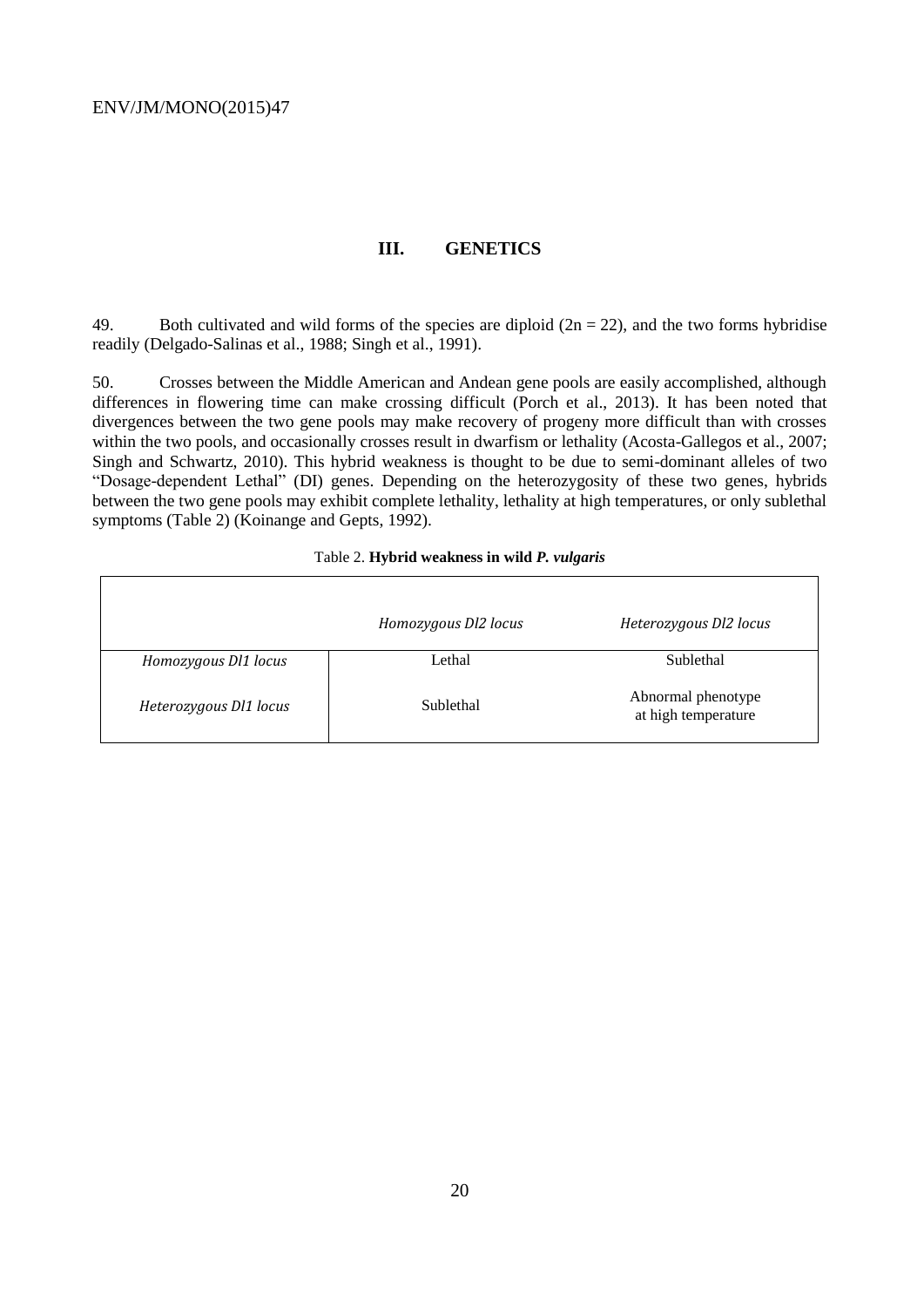$\Gamma$ 

## **III. GENETICS**

49. Both cultivated and wild forms of the species are diploid  $(2n = 22)$ , and the two forms hybridise readily (Delgado-Salinas et al., 1988; Singh et al., 1991).

50. Crosses between the Middle American and Andean gene pools are easily accomplished, although differences in flowering time can make crossing difficult (Porch et al., 2013). It has been noted that divergences between the two gene pools may make recovery of progeny more difficult than with crosses within the two pools, and occasionally crosses result in dwarfism or lethality (Acosta-Gallegos et al., 2007; Singh and Schwartz, 2010). This hybrid weakness is thought to be due to semi-dominant alleles of two "Dosage-dependent Lethal" (DI) genes. Depending on the heterozygosity of these two genes, hybrids between the two gene pools may exhibit complete lethality, lethality at high temperatures, or only sublethal symptoms (Table 2) (Koinange and Gepts, 1992).

|  |  | Table 2. Hybrid weakness in wild P. vulgaris |  |  |
|--|--|----------------------------------------------|--|--|
|--|--|----------------------------------------------|--|--|

٦

|                        | Homozygous Dl2 locus | Heterozygous Dl2 locus                    |
|------------------------|----------------------|-------------------------------------------|
| Homozygous Dl1 locus   | Lethal               | Sublethal                                 |
| Heterozygous Dl1 locus | Sublethal            | Abnormal phenotype<br>at high temperature |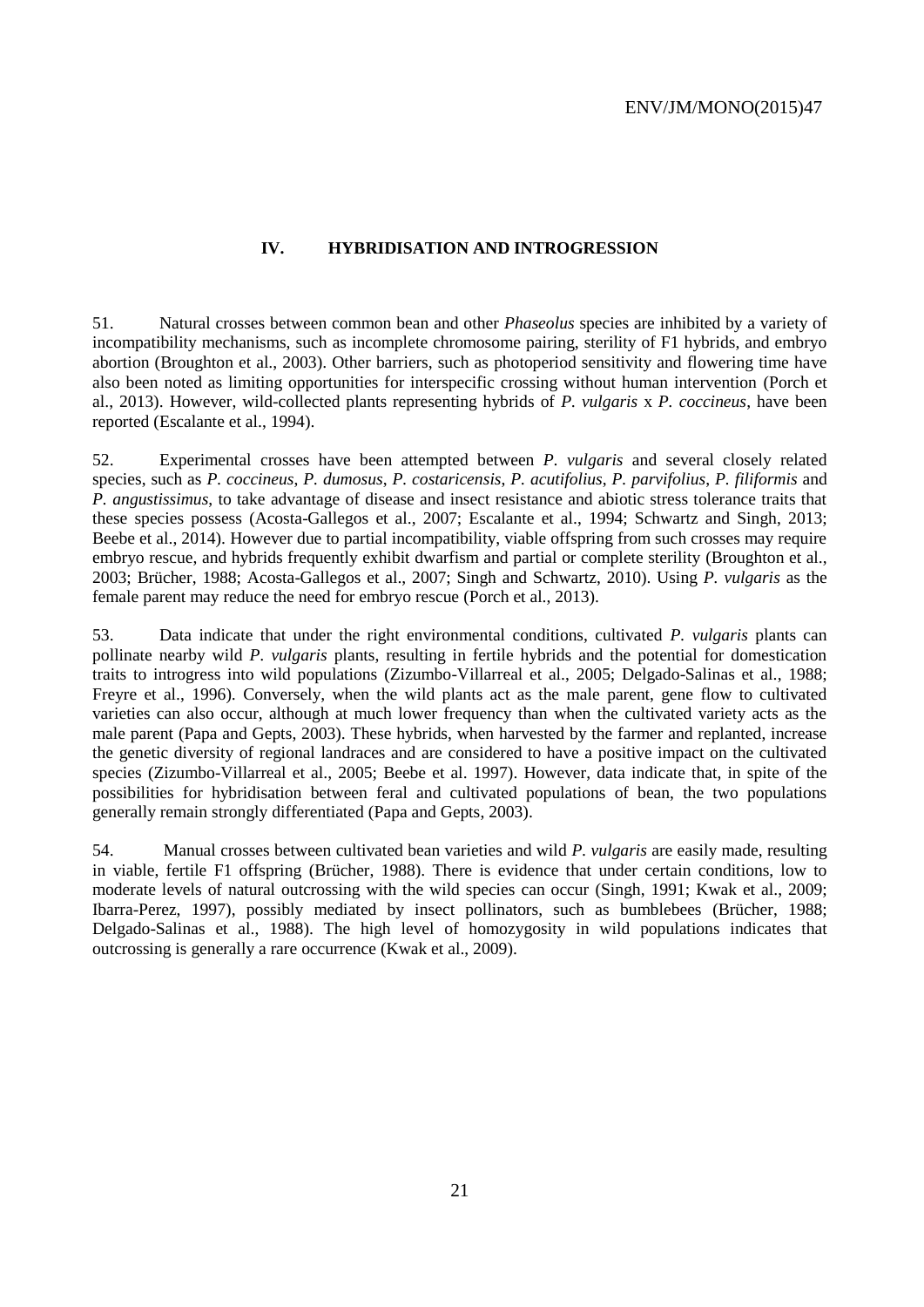#### **IV. HYBRIDISATION AND INTROGRESSION**

51. Natural crosses between common bean and other *Phaseolus* species are inhibited by a variety of incompatibility mechanisms, such as incomplete chromosome pairing, sterility of F1 hybrids, and embryo abortion (Broughton et al., 2003). Other barriers, such as photoperiod sensitivity and flowering time have also been noted as limiting opportunities for interspecific crossing without human intervention (Porch et al., 2013). However, wild-collected plants representing hybrids of *P. vulgaris* x *P. coccineus*, have been reported (Escalante et al., 1994).

52. Experimental crosses have been attempted between *P. vulgaris* and several closely related species, such as *P. coccineus*, *P. dumosus*, *P. costaricensis*, *P. acutifolius*, *P. parvifolius*, *P. filiformis* and *P. angustissimus*, to take advantage of disease and insect resistance and abiotic stress tolerance traits that these species possess (Acosta-Gallegos et al., 2007; Escalante et al., 1994; Schwartz and Singh, 2013; Beebe et al., 2014). However due to partial incompatibility, viable offspring from such crosses may require embryo rescue, and hybrids frequently exhibit dwarfism and partial or complete sterility (Broughton et al., 2003; Brücher, 1988; Acosta-Gallegos et al., 2007; Singh and Schwartz, 2010). Using *P. vulgaris* as the female parent may reduce the need for embryo rescue (Porch et al., 2013).

53. Data indicate that under the right environmental conditions, cultivated *P. vulgaris* plants can pollinate nearby wild *P. vulgaris* plants, resulting in fertile hybrids and the potential for domestication traits to introgress into wild populations (Zizumbo-Villarreal et al., 2005; Delgado-Salinas et al., 1988; Freyre et al., 1996). Conversely, when the wild plants act as the male parent, gene flow to cultivated varieties can also occur, although at much lower frequency than when the cultivated variety acts as the male parent (Papa and Gepts, 2003). These hybrids, when harvested by the farmer and replanted, increase the genetic diversity of regional landraces and are considered to have a positive impact on the cultivated species (Zizumbo-Villarreal et al., 2005; Beebe et al. 1997). However, data indicate that, in spite of the possibilities for hybridisation between feral and cultivated populations of bean, the two populations generally remain strongly differentiated (Papa and Gepts, 2003).

54. Manual crosses between cultivated bean varieties and wild *P. vulgaris* are easily made, resulting in viable, fertile F1 offspring (Brücher, 1988). There is evidence that under certain conditions, low to moderate levels of natural outcrossing with the wild species can occur (Singh, 1991; Kwak et al., 2009; Ibarra-Perez, 1997), possibly mediated by insect pollinators, such as bumblebees (Brücher, 1988; Delgado-Salinas et al., 1988). The high level of homozygosity in wild populations indicates that outcrossing is generally a rare occurrence (Kwak et al., 2009).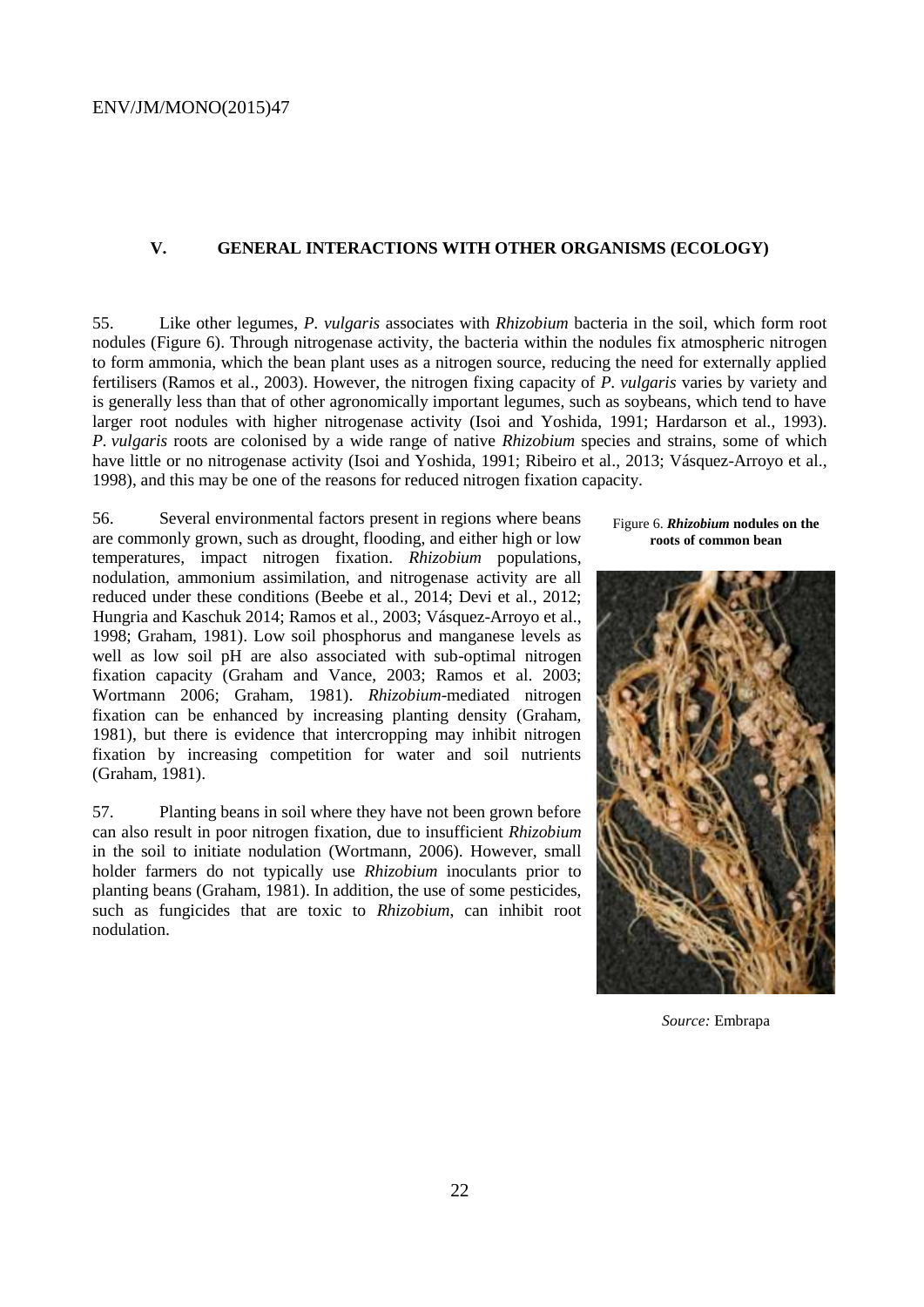#### **V. GENERAL INTERACTIONS WITH OTHER ORGANISMS (ECOLOGY)**

55. Like other legumes, *P. vulgaris* associates with *Rhizobium* bacteria in the soil, which form root nodules (Figure 6). Through nitrogenase activity, the bacteria within the nodules fix atmospheric nitrogen to form ammonia, which the bean plant uses as a nitrogen source, reducing the need for externally applied fertilisers (Ramos et al., 2003). However, the nitrogen fixing capacity of *P. vulgaris* varies by variety and is generally less than that of other agronomically important legumes, such as soybeans, which tend to have larger root nodules with higher nitrogenase activity (Isoi and Yoshida, 1991; Hardarson et al., 1993). *P. vulgaris* roots are colonised by a wide range of native *Rhizobium* species and strains, some of which have little or no nitrogenase activity (Isoi and Yoshida, 1991; Ribeiro et al., 2013; Vásquez-Arroyo et al., 1998), and this may be one of the reasons for reduced nitrogen fixation capacity.

56. Several environmental factors present in regions where beans are commonly grown, such as drought, flooding, and either high or low temperatures, impact nitrogen fixation. *Rhizobium* populations, nodulation, ammonium assimilation, and nitrogenase activity are all reduced under these conditions (Beebe et al., 2014; Devi et al., 2012; Hungria and Kaschuk 2014; Ramos et al., 2003; Vásquez-Arroyo et al., 1998; Graham, 1981). Low soil phosphorus and manganese levels as well as low soil pH are also associated with sub-optimal nitrogen fixation capacity (Graham and Vance, 2003; Ramos et al. 2003; Wortmann 2006; Graham, 1981). *Rhizobium*-mediated nitrogen fixation can be enhanced by increasing planting density (Graham, 1981), but there is evidence that intercropping may inhibit nitrogen fixation by increasing competition for water and soil nutrients (Graham, 1981).

57. Planting beans in soil where they have not been grown before can also result in poor nitrogen fixation, due to insufficient *Rhizobium* in the soil to initiate nodulation (Wortmann, 2006). However, small holder farmers do not typically use *Rhizobium* inoculants prior to planting beans (Graham, 1981). In addition, the use of some pesticides, such as fungicides that are toxic to *Rhizobium*, can inhibit root nodulation.

Figure 6. *Rhizobium* **nodules on the roots of common bean**



*Source:* Embrapa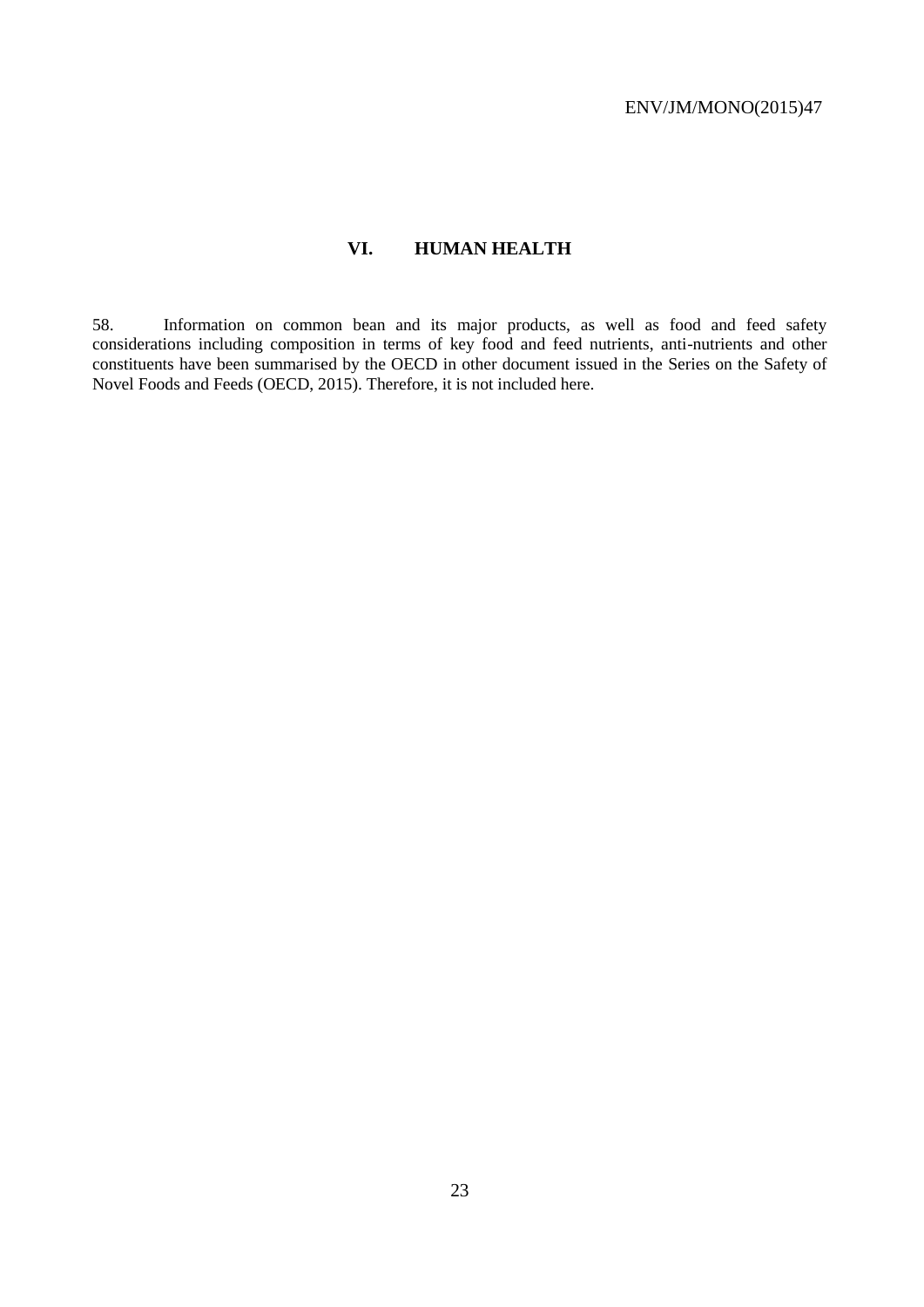# **VI. HUMAN HEALTH**

58. Information on common bean and its major products, as well as food and feed safety considerations including composition in terms of key food and feed nutrients, anti-nutrients and other constituents have been summarised by the OECD in other document issued in the Series on the Safety of Novel Foods and Feeds (OECD, 2015). Therefore, it is not included here.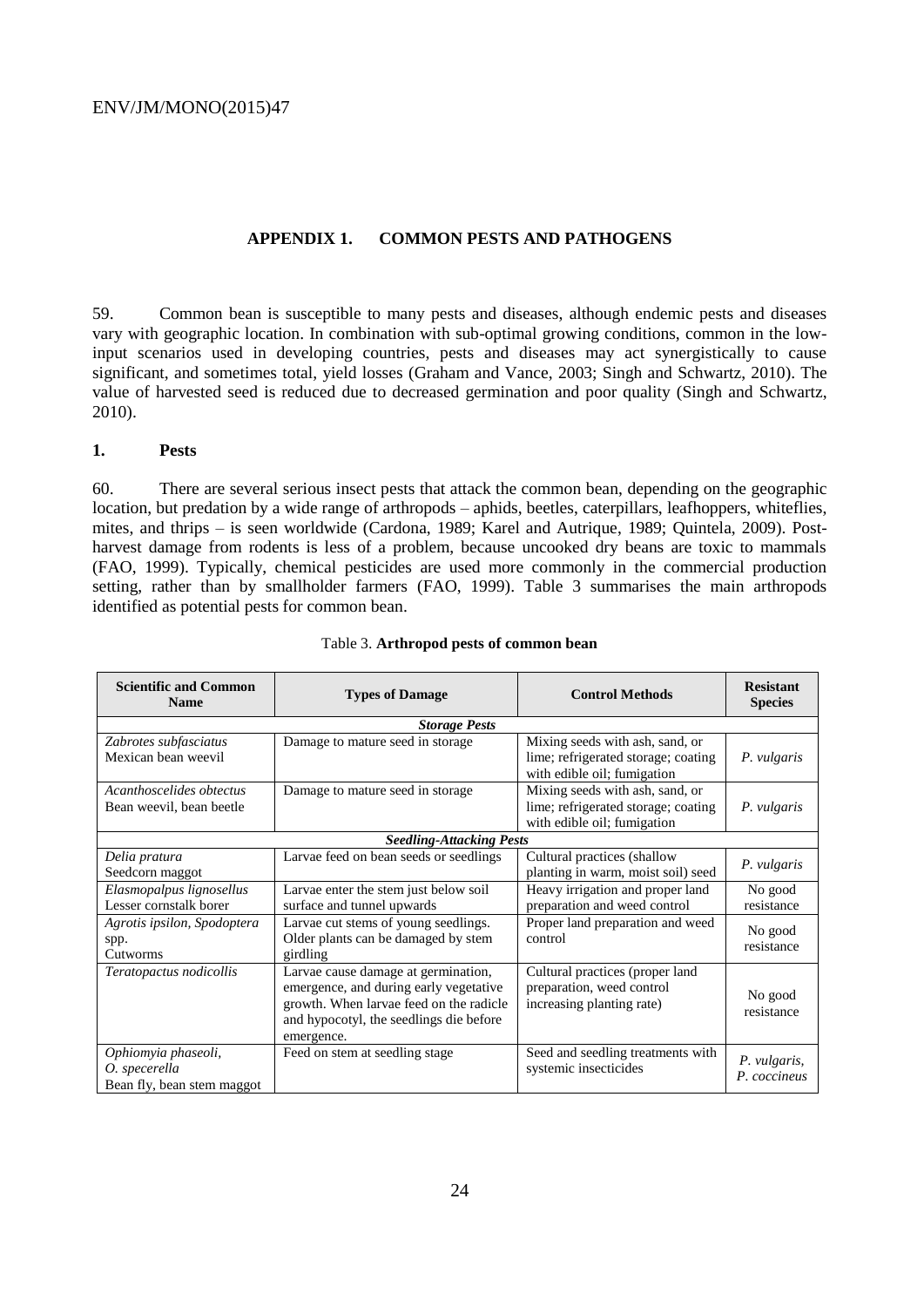#### **APPENDIX 1. COMMON PESTS AND PATHOGENS**

59. Common bean is susceptible to many pests and diseases, although endemic pests and diseases vary with geographic location. In combination with sub-optimal growing conditions, common in the lowinput scenarios used in developing countries, pests and diseases may act synergistically to cause significant, and sometimes total, yield losses (Graham and Vance, 2003; Singh and Schwartz, 2010). The value of harvested seed is reduced due to decreased germination and poor quality (Singh and Schwartz, 2010).

#### **1. Pests**

60. There are several serious insect pests that attack the common bean, depending on the geographic location, but predation by a wide range of arthropods – aphids, beetles, caterpillars, leafhoppers, whiteflies, mites, and thrips – is seen worldwide (Cardona, 1989; Karel and Autrique, 1989; Quintela, 2009). Postharvest damage from rodents is less of a problem, because uncooked dry beans are toxic to mammals (FAO, 1999). Typically, chemical pesticides are used more commonly in the commercial production setting, rather than by smallholder farmers (FAO, 1999). Table 3 summarises the main arthropods identified as potential pests for common bean.

| <b>Scientific and Common</b><br><b>Name</b>                        | <b>Types of Damage</b>                                                                                                                                                            | <b>Control Methods</b>                                                                                | <b>Resistant</b><br><b>Species</b> |
|--------------------------------------------------------------------|-----------------------------------------------------------------------------------------------------------------------------------------------------------------------------------|-------------------------------------------------------------------------------------------------------|------------------------------------|
|                                                                    | <b>Storage Pests</b>                                                                                                                                                              |                                                                                                       |                                    |
| Zabrotes subfasciatus<br>Mexican bean weevil                       | Damage to mature seed in storage                                                                                                                                                  | Mixing seeds with ash, sand, or<br>lime; refrigerated storage; coating<br>with edible oil; fumigation | P. vulgaris                        |
| Acanthoscelides obtectus<br>Bean weevil, bean beetle               | Damage to mature seed in storage                                                                                                                                                  | Mixing seeds with ash, sand, or<br>lime; refrigerated storage; coating<br>with edible oil; fumigation | P. vulgaris                        |
|                                                                    | <b>Seedling-Attacking Pests</b>                                                                                                                                                   |                                                                                                       |                                    |
| Delia pratura<br>Seedcorn maggot                                   | Larvae feed on bean seeds or seedlings                                                                                                                                            | Cultural practices (shallow<br>planting in warm, moist soil) seed                                     | P. vulgaris                        |
| Elasmopalpus lignosellus<br>Lesser cornstalk borer                 | Larvae enter the stem just below soil<br>surface and tunnel upwards                                                                                                               | Heavy irrigation and proper land<br>preparation and weed control                                      | No good<br>resistance              |
| Agrotis ipsilon, Spodoptera<br>spp.<br>Cutworms                    | Larvae cut stems of young seedlings.<br>Older plants can be damaged by stem<br>girdling                                                                                           | Proper land preparation and weed<br>control                                                           | No good<br>resistance              |
| Teratopactus nodicollis                                            | Larvae cause damage at germination,<br>emergence, and during early vegetative<br>growth. When larvae feed on the radicle<br>and hypocotyl, the seedlings die before<br>emergence. | Cultural practices (proper land<br>preparation, weed control<br>increasing planting rate)             | No good<br>resistance              |
| Ophiomyia phaseoli,<br>O. specerella<br>Bean fly, bean stem maggot | Feed on stem at seedling stage                                                                                                                                                    | Seed and seedling treatments with<br>systemic insecticides                                            | P. vulgaris,<br>P. coccineus       |

#### Table 3. **Arthropod pests of common bean**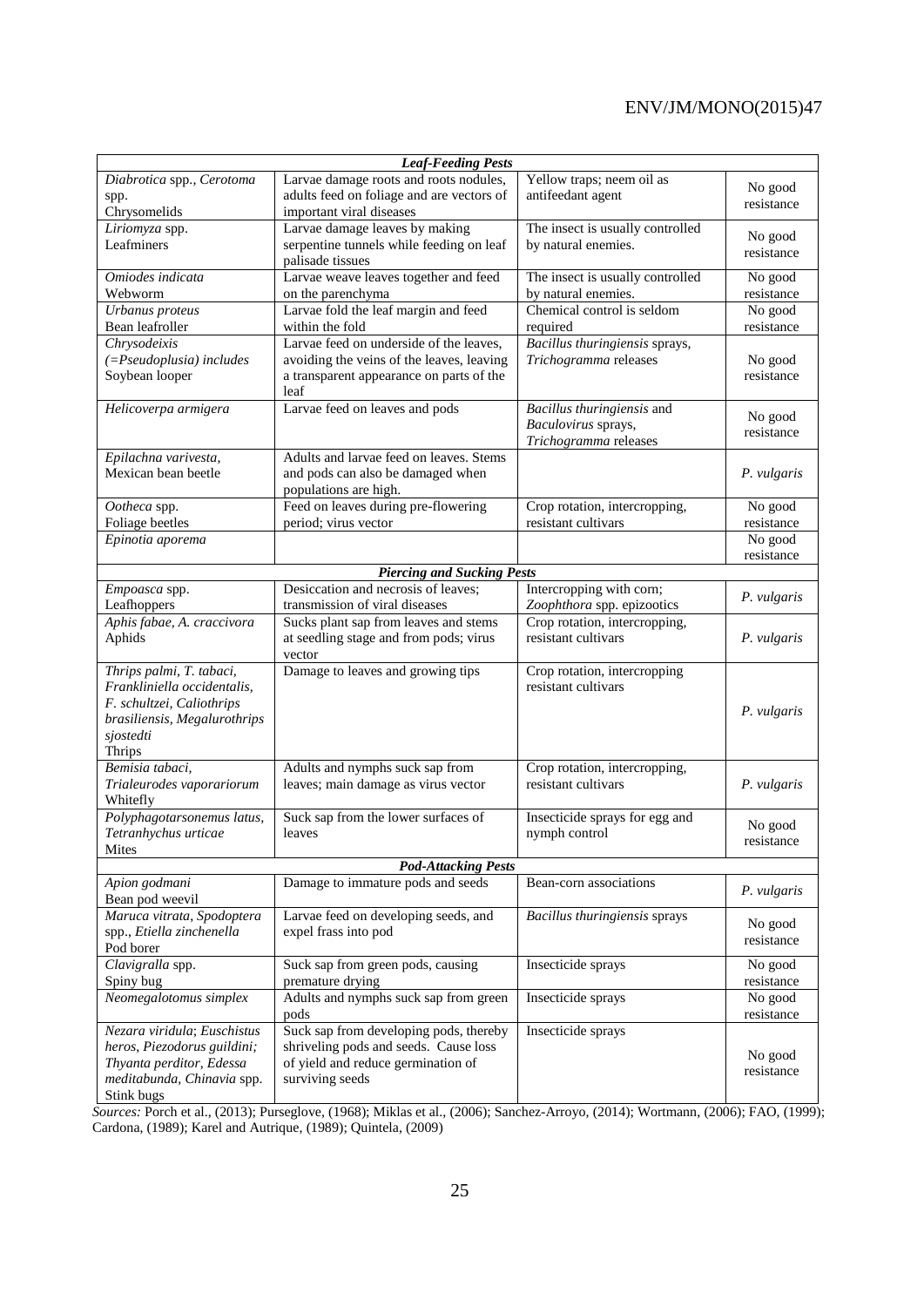| <b>Leaf-Feeding Pests</b>                          |                                                                                 |                                                 |             |  |  |  |
|----------------------------------------------------|---------------------------------------------------------------------------------|-------------------------------------------------|-------------|--|--|--|
| Diabrotica spp., Cerotoma                          | Larvae damage roots and roots nodules,                                          | Yellow traps; neem oil as                       | No good     |  |  |  |
| spp.                                               | adults feed on foliage and are vectors of                                       | antifeedant agent                               | resistance  |  |  |  |
| Chrysomelids                                       | important viral diseases                                                        |                                                 |             |  |  |  |
| Liriomyza spp.                                     | Larvae damage leaves by making                                                  | The insect is usually controlled                | No good     |  |  |  |
| Leafminers                                         | serpentine tunnels while feeding on leaf<br>palisade tissues                    | by natural enemies.                             | resistance  |  |  |  |
| Omiodes indicata                                   | Larvae weave leaves together and feed                                           | The insect is usually controlled                | No good     |  |  |  |
| Webworm                                            | on the parenchyma                                                               | by natural enemies.                             | resistance  |  |  |  |
| Urbanus proteus                                    | Larvae fold the leaf margin and feed                                            | Chemical control is seldom                      | No good     |  |  |  |
| Bean leafroller                                    | within the fold                                                                 | required                                        | resistance  |  |  |  |
| Chrysodeixis                                       | Larvae feed on underside of the leaves.                                         | Bacillus thuringiensis sprays,                  |             |  |  |  |
| $( = Pseudoplusia)$ includes                       | avoiding the veins of the leaves, leaving                                       | Trichogramma releases                           | No good     |  |  |  |
| Soybean looper                                     | a transparent appearance on parts of the                                        |                                                 | resistance  |  |  |  |
|                                                    | leaf                                                                            |                                                 |             |  |  |  |
| Helicoverpa armigera                               | Larvae feed on leaves and pods                                                  | Bacillus thuringiensis and                      | No good     |  |  |  |
|                                                    |                                                                                 | Baculovirus sprays,                             | resistance  |  |  |  |
|                                                    | Adults and larvae feed on leaves. Stems                                         | Trichogramma releases                           |             |  |  |  |
| Epilachna varivesta,<br>Mexican bean beetle        | and pods can also be damaged when                                               |                                                 | P. vulgaris |  |  |  |
|                                                    | populations are high.                                                           |                                                 |             |  |  |  |
| Ootheca spp.                                       | Feed on leaves during pre-flowering                                             | Crop rotation, intercropping,                   | No good     |  |  |  |
| Foliage beetles                                    | period; virus vector                                                            | resistant cultivars                             | resistance  |  |  |  |
| Epinotia aporema                                   |                                                                                 |                                                 | No good     |  |  |  |
|                                                    |                                                                                 |                                                 | resistance  |  |  |  |
| <b>Piercing and Sucking Pests</b>                  |                                                                                 |                                                 |             |  |  |  |
| Empoasca spp.                                      | Desiccation and necrosis of leaves;                                             | Intercropping with corn;                        | P. vulgaris |  |  |  |
| Leafhoppers                                        | transmission of viral diseases                                                  | Zoophthora spp. epizootics                      |             |  |  |  |
| Aphis fabae, A. craccivora                         | Sucks plant sap from leaves and stems                                           | Crop rotation, intercropping,                   |             |  |  |  |
| Aphids                                             | at seedling stage and from pods; virus                                          | resistant cultivars                             | P. vulgaris |  |  |  |
| Thrips palmi, T. tabaci,                           | vector<br>Damage to leaves and growing tips                                     | Crop rotation, intercropping                    |             |  |  |  |
| Frankliniella occidentalis,                        |                                                                                 | resistant cultivars                             |             |  |  |  |
| F. schultzei, Caliothrips                          |                                                                                 |                                                 |             |  |  |  |
| brasiliensis, Megalurothrips                       |                                                                                 |                                                 | P. vulgaris |  |  |  |
| sjostedti                                          |                                                                                 |                                                 |             |  |  |  |
| Thrips                                             |                                                                                 |                                                 |             |  |  |  |
| Bemisia tabaci,                                    | Adults and nymphs suck sap from                                                 | Crop rotation, intercropping,                   |             |  |  |  |
| Trialeurodes vaporariorum                          | leaves; main damage as virus vector                                             | resistant cultivars                             | P. vulgaris |  |  |  |
| Whitefly                                           |                                                                                 |                                                 |             |  |  |  |
| Polyphagotarsonemus latus,<br>Tetranhychus urticae | Suck sap from the lower surfaces of<br>leaves                                   | Insecticide sprays for egg and<br>nymph control | No good     |  |  |  |
| Mites                                              |                                                                                 |                                                 | resistance  |  |  |  |
|                                                    | <b>Pod-Attacking Pests</b>                                                      |                                                 |             |  |  |  |
| Apion godmani                                      | Damage to immature pods and seeds                                               | Bean-corn associations                          |             |  |  |  |
| Bean pod weevil                                    |                                                                                 |                                                 | P. vulgaris |  |  |  |
| Maruca vitrata, Spodoptera                         | Larvae feed on developing seeds, and                                            | Bacillus thuringiensis sprays                   | No good     |  |  |  |
| spp., Etiella zinchenella                          | expel frass into pod                                                            |                                                 | resistance  |  |  |  |
| Pod borer                                          |                                                                                 |                                                 |             |  |  |  |
| Clavigralla spp.                                   | Suck sap from green pods, causing                                               | Insecticide sprays                              | No good     |  |  |  |
| Spiny bug                                          | premature drying                                                                |                                                 | resistance  |  |  |  |
| Neomegalotomus simplex                             | Adults and nymphs suck sap from green                                           | Insecticide sprays                              | No good     |  |  |  |
| Nezara viridula; Euschistus                        | pods                                                                            | Insecticide sprays                              | resistance  |  |  |  |
| heros, Piezodorus guildini;                        | Suck sap from developing pods, thereby<br>shriveling pods and seeds. Cause loss |                                                 |             |  |  |  |
| Thyanta perditor, Edessa                           | of yield and reduce germination of                                              |                                                 | No good     |  |  |  |
| meditabunda, Chinavia spp.                         | surviving seeds                                                                 |                                                 | resistance  |  |  |  |
| Stink bugs                                         |                                                                                 |                                                 |             |  |  |  |

*Sources:* Porch et al., (2013); Purseglove, (1968); Miklas et al., (2006); Sanchez-Arroyo, (2014); Wortmann, (2006); FAO, (1999); Cardona, (1989); Karel and Autrique, (1989); Quintela, (2009)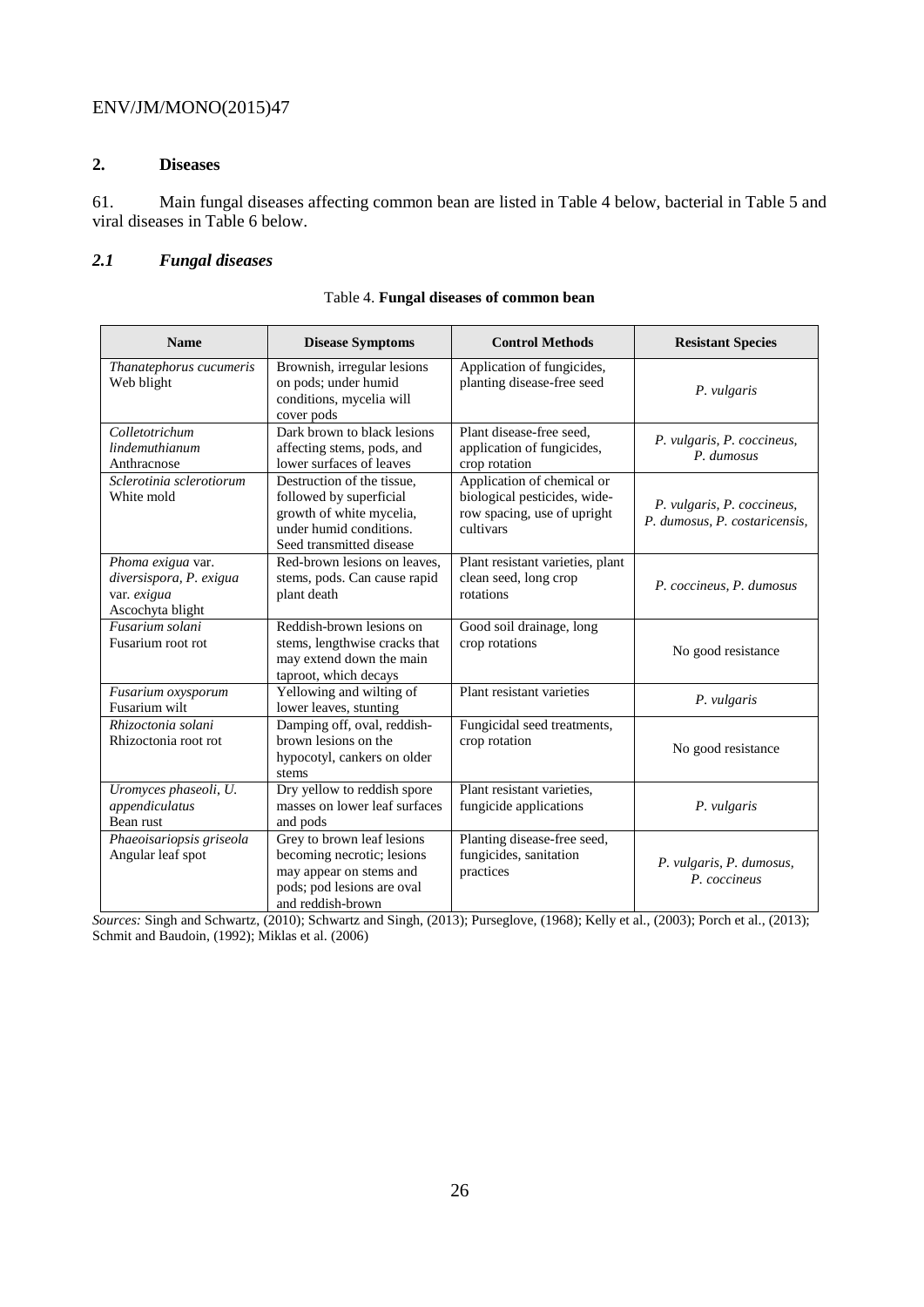# **2. Diseases**

61. Main fungal diseases affecting common bean are listed in Table 4 below, bacterial in Table 5 and viral diseases in Table 6 below.

# *2.1 Fungal diseases*

| <b>Name</b>                                                                     | <b>Disease Symptoms</b>                                                                                                                  | <b>Control Methods</b>                                                                                 | <b>Resistant Species</b>                                    |
|---------------------------------------------------------------------------------|------------------------------------------------------------------------------------------------------------------------------------------|--------------------------------------------------------------------------------------------------------|-------------------------------------------------------------|
| Thanatephorus cucumeris<br>Web blight                                           | Brownish, irregular lesions<br>on pods; under humid<br>conditions, mycelia will<br>cover pods                                            | Application of fungicides,<br>planting disease-free seed                                               | P. vulgaris                                                 |
| Colletotrichum<br>lindemuthianum<br>Anthracnose                                 | Dark brown to black lesions<br>affecting stems, pods, and<br>lower surfaces of leaves                                                    | Plant disease-free seed,<br>application of fungicides,<br>crop rotation                                | P. vulgaris, P. coccineus,<br>P. dumosus                    |
| Sclerotinia sclerotiorum<br>White mold                                          | Destruction of the tissue,<br>followed by superficial<br>growth of white mycelia,<br>under humid conditions.<br>Seed transmitted disease | Application of chemical or<br>biological pesticides, wide-<br>row spacing, use of upright<br>cultivars | P. vulgaris, P. coccineus,<br>P. dumosus, P. costaricensis, |
| Phoma exigua var.<br>diversispora, P. exigua<br>var. exigua<br>Ascochyta blight | Red-brown lesions on leaves,<br>stems, pods. Can cause rapid<br>plant death                                                              | Plant resistant varieties, plant<br>clean seed, long crop<br>rotations                                 | P. coccineus, P. dumosus                                    |
| Fusarium solani<br>Fusarium root rot                                            | Reddish-brown lesions on<br>stems, lengthwise cracks that<br>may extend down the main<br>taproot, which decays                           | Good soil drainage, long<br>crop rotations                                                             | No good resistance                                          |
| Fusarium oxysporum<br>Fusarium wilt                                             | Yellowing and wilting of<br>lower leaves, stunting                                                                                       | Plant resistant varieties                                                                              | P. vulgaris                                                 |
| Rhizoctonia solani<br>Rhizoctonia root rot                                      | Damping off, oval, reddish-<br>brown lesions on the<br>hypocotyl, cankers on older<br>stems                                              | Fungicidal seed treatments,<br>crop rotation                                                           | No good resistance                                          |
| Uromyces phaseoli, U.<br>appendiculatus<br>Bean rust                            | Dry yellow to reddish spore<br>masses on lower leaf surfaces<br>and pods                                                                 | Plant resistant varieties.<br>fungicide applications                                                   | P. vulgaris                                                 |
| Phaeoisariopsis griseola<br>Angular leaf spot                                   | Grey to brown leaf lesions<br>becoming necrotic; lesions<br>may appear on stems and<br>pods; pod lesions are oval<br>and reddish-brown   | Planting disease-free seed,<br>fungicides, sanitation<br>practices                                     | P. vulgaris, P. dumosus,<br>P. coccineus                    |

Table 4. **Fungal diseases of common bean**

*Sources:* Singh and Schwartz, (2010); Schwartz and Singh, (2013); Purseglove, (1968); Kelly et al., (2003); Porch et al., (2013); Schmit and Baudoin, (1992); Miklas et al. (2006)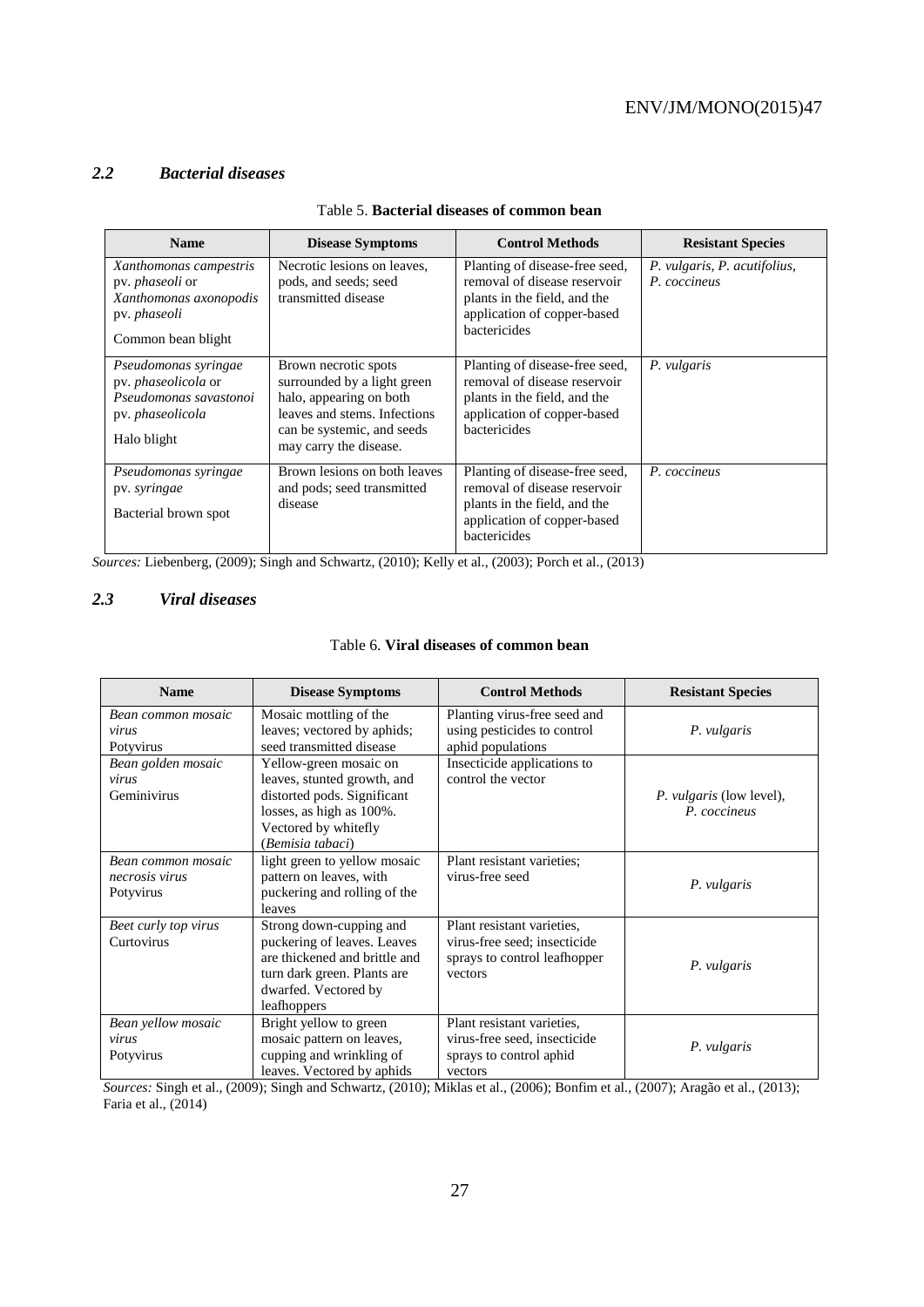#### *2.2 Bacterial diseases*

| <b>Name</b>                                                                                                             | <b>Disease Symptoms</b>                                                                                                                                                | <b>Control Methods</b>                                                                                                                        | <b>Resistant Species</b>                     |
|-------------------------------------------------------------------------------------------------------------------------|------------------------------------------------------------------------------------------------------------------------------------------------------------------------|-----------------------------------------------------------------------------------------------------------------------------------------------|----------------------------------------------|
| Xanthomonas campestris<br>pv. <i>phaseoli</i> or<br>Xanthomonas axonopodis<br>pv. <i>phaseoli</i><br>Common bean blight | Necrotic lesions on leaves,<br>pods, and seeds; seed<br>transmitted disease                                                                                            | Planting of disease-free seed,<br>removal of disease reservoir<br>plants in the field, and the<br>application of copper-based<br>bactericides | P. vulgaris, P. acutifolius,<br>P. coccineus |
| Pseudomonas syringae<br>pv. <i>phaseolicola</i> or<br>Pseudomonas savastonoi<br>pv. phaseolicola<br>Halo blight         | Brown necrotic spots<br>surrounded by a light green<br>halo, appearing on both<br>leaves and stems. Infections<br>can be systemic, and seeds<br>may carry the disease. | Planting of disease-free seed,<br>removal of disease reservoir<br>plants in the field, and the<br>application of copper-based<br>bactericides | P. vulgaris                                  |
| Pseudomonas syringae<br>pv. syringae<br>Bacterial brown spot                                                            | Brown lesions on both leaves<br>and pods; seed transmitted<br>disease                                                                                                  | Planting of disease-free seed,<br>removal of disease reservoir<br>plants in the field, and the<br>application of copper-based<br>bactericides | P. coccineus                                 |

#### Table 5. **Bacterial diseases of common bean**

*Sources:* Liebenberg, (2009); Singh and Schwartz, (2010); Kelly et al., (2003); Porch et al., (2013)

## *2.3 Viral diseases*

| Table 6. Viral diseases of common bean |  |
|----------------------------------------|--|
|----------------------------------------|--|

| <b>Name</b>                                       | <b>Disease Symptoms</b>                                                                                                                                       | <b>Control Methods</b>                                                                                | <b>Resistant Species</b>                 |
|---------------------------------------------------|---------------------------------------------------------------------------------------------------------------------------------------------------------------|-------------------------------------------------------------------------------------------------------|------------------------------------------|
| Bean common mosaic<br>virus<br>Potyvirus          | Mosaic mottling of the<br>leaves; vectored by aphids;<br>seed transmitted disease                                                                             | Planting virus-free seed and<br>using pesticides to control<br>aphid populations                      | P. vulgaris                              |
| Bean golden mosaic<br>virus<br>Geminivirus        | Yellow-green mosaic on<br>leaves, stunted growth, and<br>distorted pods. Significant<br>losses, as high as 100%.<br>Vectored by whitefly<br>(Bemisia tabaci)  | Insecticide applications to<br>control the vector                                                     | P. vulgaris (low level),<br>P. coccineus |
| Bean common mosaic<br>necrosis virus<br>Potyvirus | light green to yellow mosaic<br>pattern on leaves, with<br>puckering and rolling of the<br>leaves                                                             | Plant resistant varieties;<br>virus-free seed                                                         | P. vulgaris                              |
| Beet curly top virus<br>Curtovirus                | Strong down-cupping and<br>puckering of leaves. Leaves<br>are thickened and brittle and<br>turn dark green. Plants are<br>dwarfed. Vectored by<br>leafhoppers | Plant resistant varieties.<br>virus-free seed; insecticide<br>sprays to control leafhopper<br>vectors | P. vulgaris                              |
| Bean yellow mosaic<br>virus<br>Potyvirus          | Bright yellow to green<br>mosaic pattern on leaves,<br>cupping and wrinkling of<br>leaves. Vectored by aphids                                                 | Plant resistant varieties,<br>virus-free seed, insecticide<br>sprays to control aphid<br>vectors      | P. vulgaris                              |

*Sources:* Singh et al., (2009); Singh and Schwartz, (2010); Miklas et al., (2006); Bonfim et al., (2007); Aragão et al., (2013); Faria et al., (2014)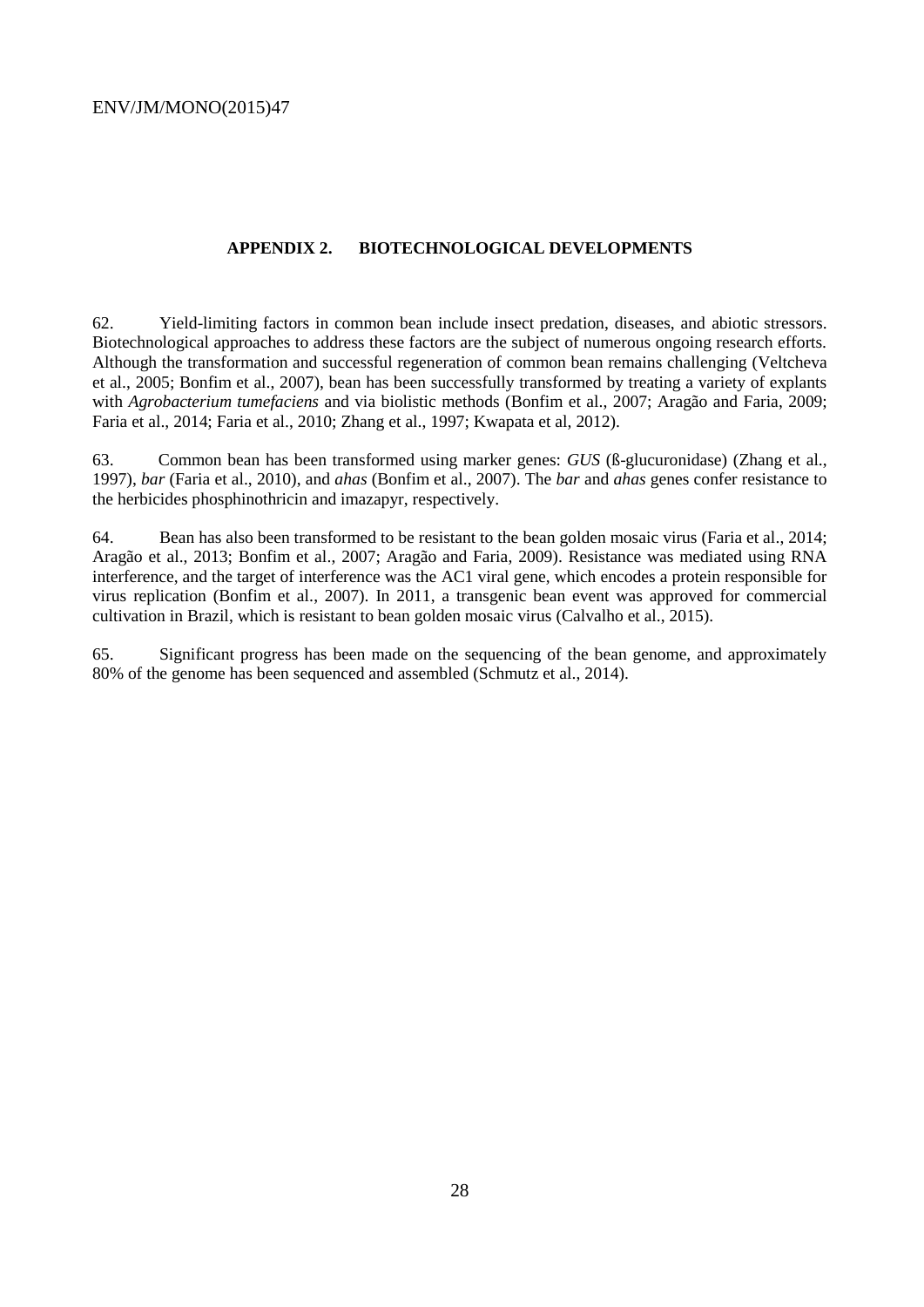#### **APPENDIX 2. BIOTECHNOLOGICAL DEVELOPMENTS**

62. Yield-limiting factors in common bean include insect predation, diseases, and abiotic stressors. Biotechnological approaches to address these factors are the subject of numerous ongoing research efforts. Although the transformation and successful regeneration of common bean remains challenging (Veltcheva et al., 2005; Bonfim et al., 2007), bean has been successfully transformed by treating a variety of explants with *Agrobacterium tumefaciens* and via biolistic methods (Bonfim et al., 2007; Aragão and Faria, 2009; Faria et al., 2014; Faria et al., 2010; Zhang et al., 1997; Kwapata et al, 2012).

63. Common bean has been transformed using marker genes: *GUS* (ß-glucuronidase) (Zhang et al., 1997), *bar* (Faria et al., 2010), and *ahas* (Bonfim et al., 2007). The *bar* and *ahas* genes confer resistance to the herbicides phosphinothricin and imazapyr, respectively.

64. Bean has also been transformed to be resistant to the bean golden mosaic virus (Faria et al., 2014; Aragão et al., 2013; Bonfim et al., 2007; Aragão and Faria, 2009). Resistance was mediated using RNA interference, and the target of interference was the AC1 viral gene, which encodes a protein responsible for virus replication (Bonfim et al., 2007). In 2011, a transgenic bean event was approved for commercial cultivation in Brazil, which is resistant to bean golden mosaic virus (Calvalho et al., 2015).

65. Significant progress has been made on the sequencing of the bean genome, and approximately 80% of the genome has been sequenced and assembled (Schmutz et al., 2014).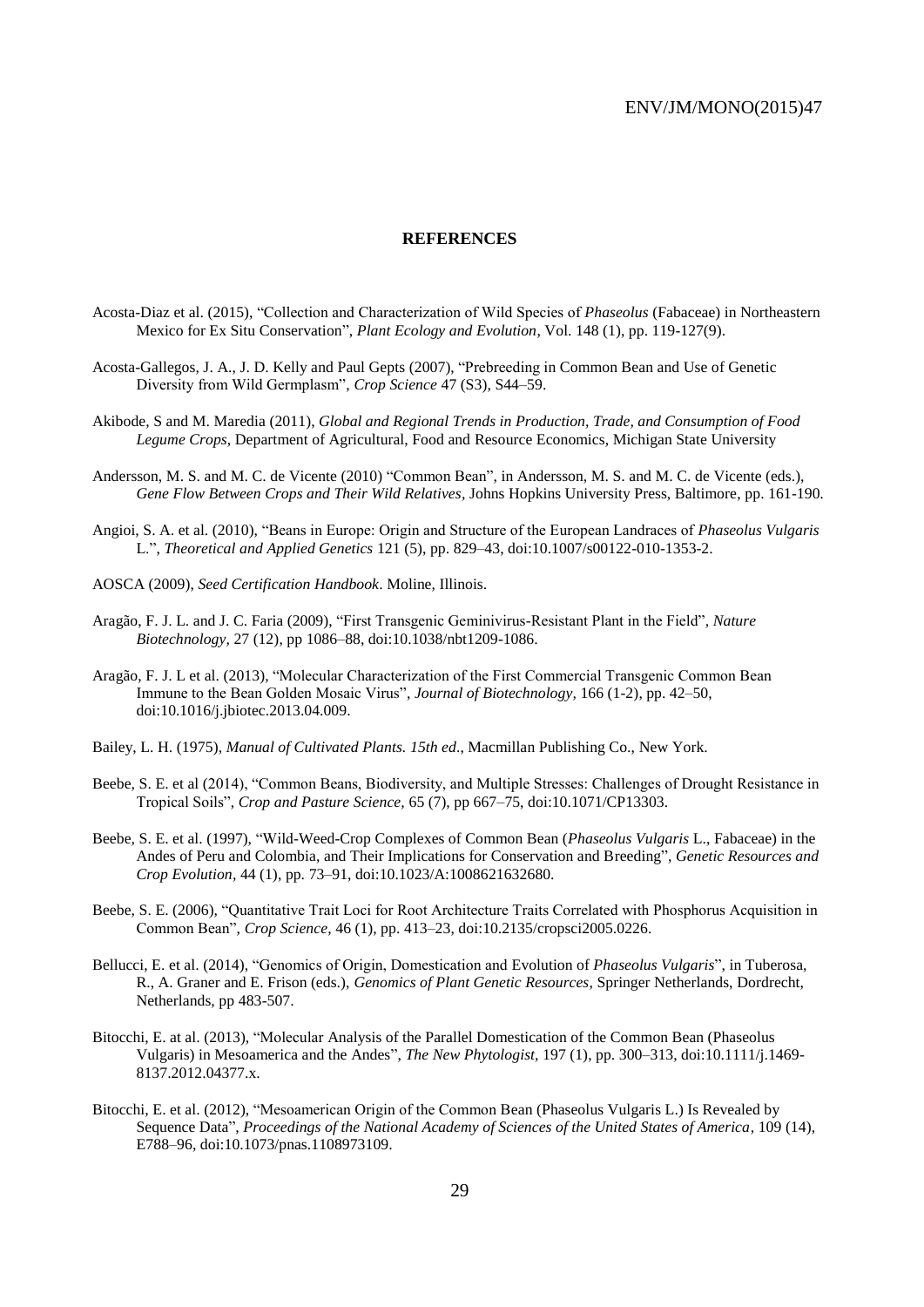#### **REFERENCES**

- Acosta-Diaz et al. (2015), "Collection and Characterization of Wild Species of *Phaseolus* (Fabaceae) in Northeastern Mexico for Ex Situ Conservation", *Plant Ecology and Evolution*, Vol. 148 (1), pp. 119-127(9).
- Acosta-Gallegos, J. A., J. D. Kelly and Paul Gepts (2007), "Prebreeding in Common Bean and Use of Genetic Diversity from Wild Germplasm", *Crop Science* 47 (S3), S44–59.
- Akibode, S and M. Maredia (2011), *Global and Regional Trends in Production, Trade, and Consumption of Food Legume Crops*, Department of Agricultural, Food and Resource Economics, Michigan State University
- Andersson, M. S. and M. C. de Vicente (2010) "Common Bean", in Andersson, M. S. and M. C. de Vicente (eds.), *Gene Flow Between Crops and Their Wild Relatives,* Johns Hopkins University Press, Baltimore, pp. 161-190*.*
- Angioi, S. A. et al. (2010), "Beans in Europe: Origin and Structure of the European Landraces of *Phaseolus Vulgaris* L.", *Theoretical and Applied Genetics* 121 (5), pp. 829–43, doi:10.1007/s00122-010-1353-2.
- AOSCA (2009), *Seed Certification Handbook*. Moline, Illinois.
- Aragão, F. J. L. and J. C. Faria (2009), "First Transgenic Geminivirus-Resistant Plant in the Field", *Nature Biotechnology,* 27 (12), pp 1086–88, doi:10.1038/nbt1209-1086.
- Aragão, F. J. L et al. (2013), "Molecular Characterization of the First Commercial Transgenic Common Bean Immune to the Bean Golden Mosaic Virus", *Journal of Biotechnology,* 166 (1-2), pp. 42–50, doi:10.1016/j.jbiotec.2013.04.009.
- Bailey, L. H. (1975), *Manual of Cultivated Plants. 15th ed*., Macmillan Publishing Co., New York.
- Beebe, S. E. et al (2014), "Common Beans, Biodiversity, and Multiple Stresses: Challenges of Drought Resistance in Tropical Soils", *Crop and Pasture Science,* 65 (7), pp 667–75, doi:10.1071/CP13303.
- Beebe, S. E. et al. (1997), "Wild-Weed-Crop Complexes of Common Bean (*Phaseolus Vulgaris* L., Fabaceae) in the Andes of Peru and Colombia, and Their Implications for Conservation and Breeding", *Genetic Resources and Crop Evolution,* 44 (1), pp. 73–91, doi:10.1023/A:1008621632680.
- Beebe, S. E. (2006), "Quantitative Trait Loci for Root Architecture Traits Correlated with Phosphorus Acquisition in Common Bean", *Crop Science,* 46 (1), pp. 413–23, doi:10.2135/cropsci2005.0226.
- Bellucci, E. et al. (2014), "Genomics of Origin, Domestication and Evolution of *Phaseolus Vulgaris*", in Tuberosa, R., A. Graner and E. Frison (eds.), *Genomics of Plant Genetic Resources*, Springer Netherlands, Dordrecht, Netherlands, pp 483-507.
- Bitocchi, E. at al. (2013), "Molecular Analysis of the Parallel Domestication of the Common Bean (Phaseolus Vulgaris) in Mesoamerica and the Andes", *The New Phytologist,* 197 (1), pp. 300–313, doi:10.1111/j.1469- 8137.2012.04377.x.
- Bitocchi, E. et al. (2012), "Mesoamerican Origin of the Common Bean (Phaseolus Vulgaris L.) Is Revealed by Sequence Data", *Proceedings of the National Academy of Sciences of the United States of America,* 109 (14), E788–96, doi:10.1073/pnas.1108973109.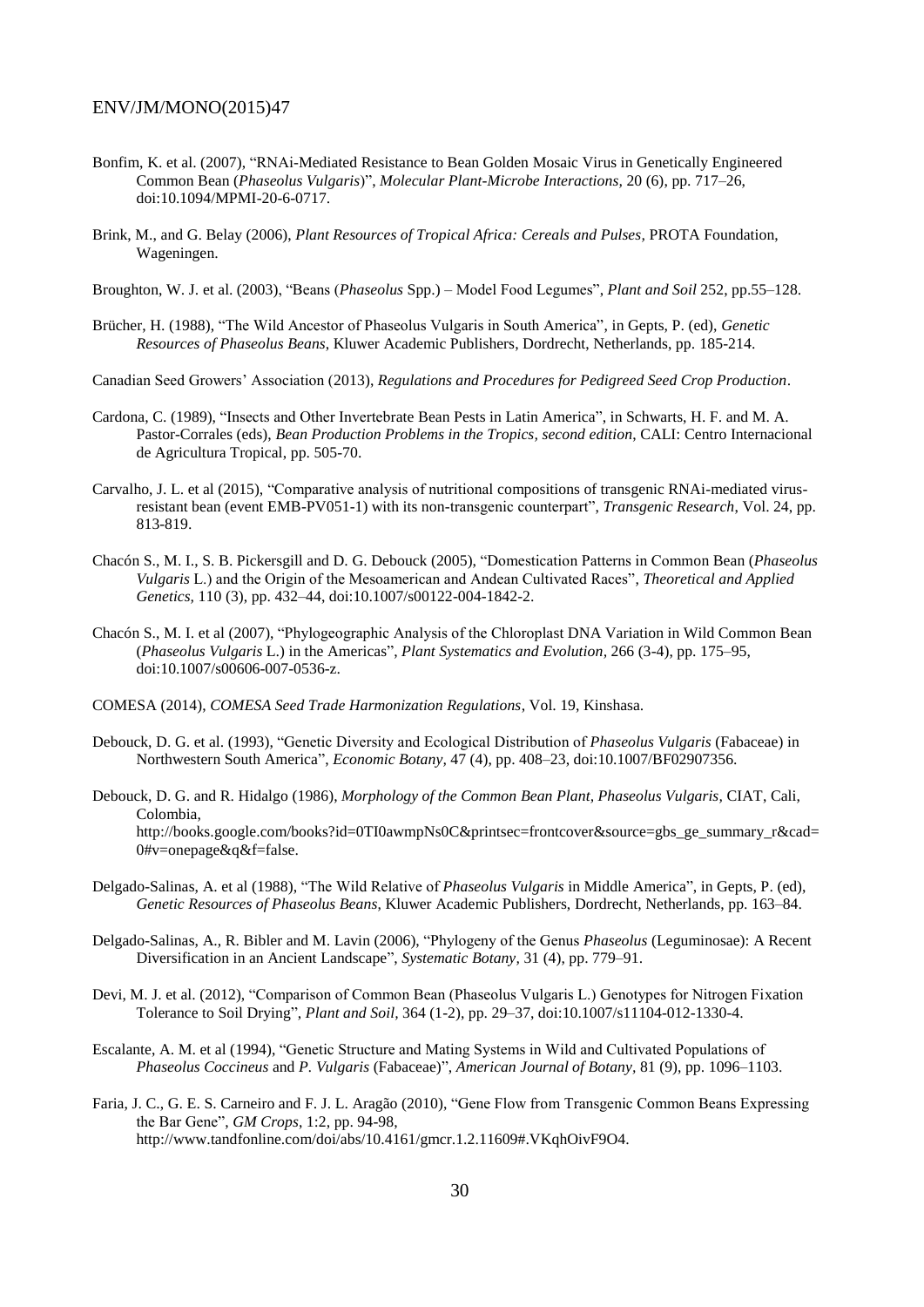- Bonfim, K. et al. (2007), "RNAi-Mediated Resistance to Bean Golden Mosaic Virus in Genetically Engineered Common Bean (*Phaseolus Vulgaris*)", *Molecular Plant-Microbe Interactions,* 20 (6), pp. 717–26, doi:10.1094/MPMI-20-6-0717.
- Brink, M., and G. Belay (2006), *Plant Resources of Tropical Africa: Cereals and Pulses,* PROTA Foundation, Wageningen.

Broughton, W. J. et al. (2003), "Beans (*Phaseolus* Spp.) – Model Food Legumes", *Plant and Soil* 252, pp.55–128.

Brücher, H. (1988), "The Wild Ancestor of Phaseolus Vulgaris in South America", in Gepts, P. (ed), *Genetic Resources of Phaseolus Beans*, Kluwer Academic Publishers, Dordrecht, Netherlands, pp. 185-214.

Canadian Seed Growers' Association (2013), *Regulations and Procedures for Pedigreed Seed Crop Production*.

- Cardona, C. (1989), "Insects and Other Invertebrate Bean Pests in Latin America", in Schwarts, H. F. and M. A. Pastor-Corrales (eds), *Bean Production Problems in the Tropics, second edition*, CALI: Centro Internacional de Agricultura Tropical, pp. 505-70.
- Carvalho, J. L. et al (2015), "Comparative analysis of nutritional compositions of transgenic RNAi-mediated virusresistant bean (event EMB-PV051-1) with its non-transgenic counterpart", *Transgenic Research*, Vol. 24, pp. 813-819.
- Chacón S., M. I., S. B. Pickersgill and D. G. Debouck (2005), "Domestication Patterns in Common Bean (*Phaseolus Vulgaris* L.) and the Origin of the Mesoamerican and Andean Cultivated Races", *Theoretical and Applied Genetics,* 110 (3), pp. 432–44, doi:10.1007/s00122-004-1842-2.
- Chacón S., M. I. et al (2007), "Phylogeographic Analysis of the Chloroplast DNA Variation in Wild Common Bean (*Phaseolus Vulgaris* L.) in the Americas", *Plant Systematics and Evolution,* 266 (3-4), pp. 175–95, doi:10.1007/s00606-007-0536-z.

COMESA (2014), *COMESA Seed Trade Harmonization Regulations*, Vol. 19, Kinshasa.

- Debouck, D. G. et al. (1993), "Genetic Diversity and Ecological Distribution of *Phaseolus Vulgaris* (Fabaceae) in Northwestern South America", *Economic Botany,* 47 (4), pp. 408–23, doi:10.1007/BF02907356.
- Debouck, D. G. and R. Hidalgo (1986), *Morphology of the Common Bean Plant, Phaseolus Vulgaris,* CIAT, Cali, Colombia, http://books.google.com/books?id=0TI0awmpNs0C&printsec=frontcover&source=gbs\_ge\_summary\_r&cad= 0#v=onepage&q&f=false.
- Delgado-Salinas, A. et al (1988), "The Wild Relative of *Phaseolus Vulgaris* in Middle America", in Gepts, P. (ed), *Genetic Resources of Phaseolus Beans*, Kluwer Academic Publishers, Dordrecht, Netherlands, pp. 163–84.
- Delgado-Salinas, A., R. Bibler and M. Lavin (2006), "Phylogeny of the Genus *Phaseolus* (Leguminosae): A Recent Diversification in an Ancient Landscape", *Systematic Botany,* 31 (4), pp. 779–91.
- Devi, M. J. et al. (2012), "Comparison of Common Bean (Phaseolus Vulgaris L.) Genotypes for Nitrogen Fixation Tolerance to Soil Drying", *Plant and Soil,* 364 (1-2), pp. 29–37, doi:10.1007/s11104-012-1330-4.
- Escalante, A. M. et al (1994), "Genetic Structure and Mating Systems in Wild and Cultivated Populations of *Phaseolus Coccineus* and *P. Vulgaris* (Fabaceae)", *American Journal of Botany,* 81 (9), pp. 1096–1103.
- Faria, J. C., G. E. S. Carneiro and F. J. L. Aragão (2010), "Gene Flow from Transgenic Common Beans Expressing the Bar Gene", *GM Crops*, 1:2, pp. 94-98, http://www.tandfonline.com/doi/abs/10.4161/gmcr.1.2.11609#.VKqhOivF9O4.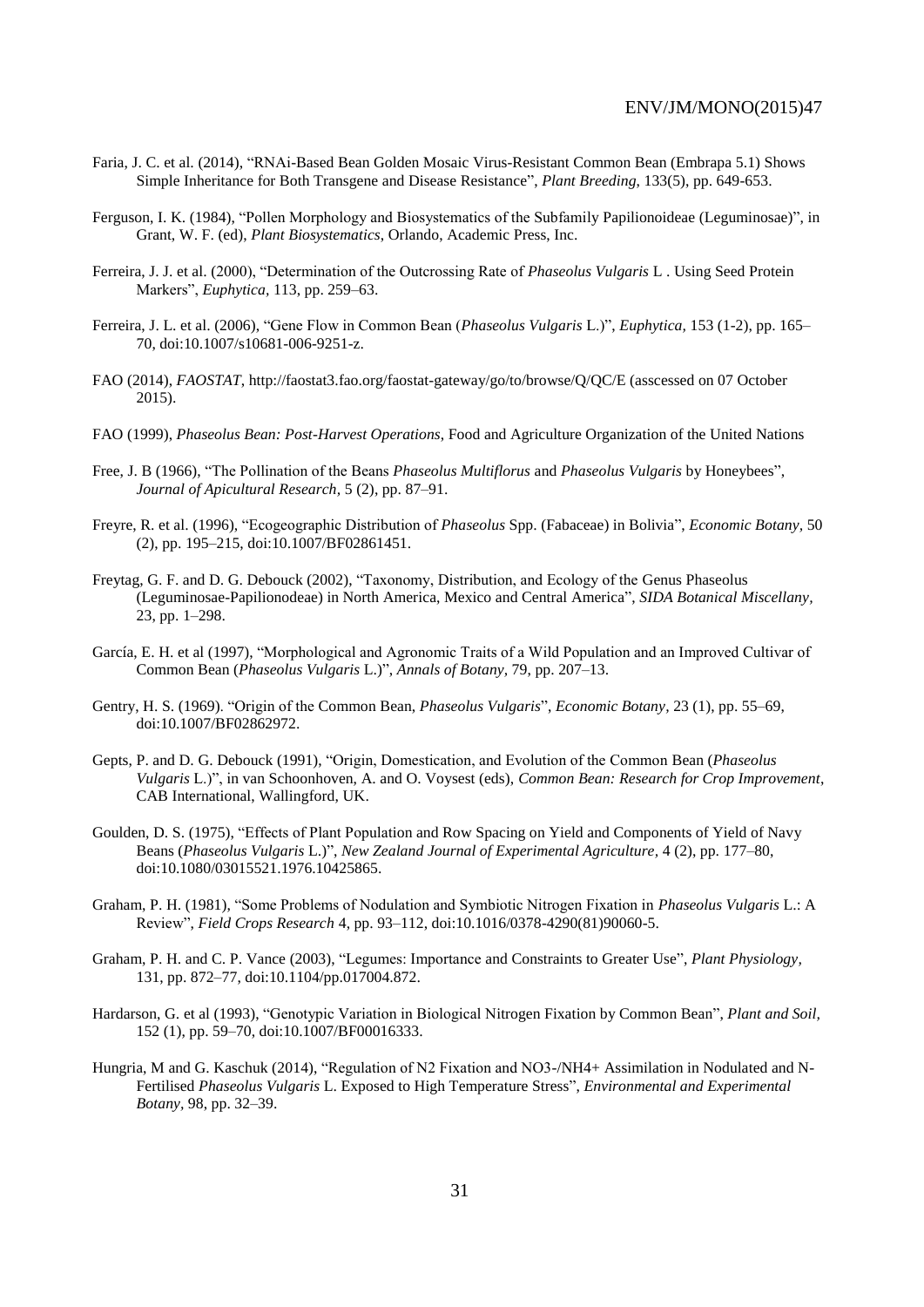- Faria, J. C. et al. (2014), "RNAi-Based Bean Golden Mosaic Virus-Resistant Common Bean (Embrapa 5.1) Shows Simple Inheritance for Both Transgene and Disease Resistance", *Plant Breeding*, 133(5), pp. 649-653.
- Ferguson, I. K. (1984), "Pollen Morphology and Biosystematics of the Subfamily Papilionoideae (Leguminosae)", in Grant, W. F. (ed), *Plant Biosystematics*, Orlando, Academic Press, Inc.
- Ferreira, J. J. et al. (2000), "Determination of the Outcrossing Rate of *Phaseolus Vulgaris* L . Using Seed Protein Markers", *Euphytica,* 113, pp. 259–63.
- Ferreira, J. L. et al. (2006), "Gene Flow in Common Bean (*Phaseolus Vulgaris* L.)", *Euphytica,* 153 (1-2), pp. 165– 70, doi:10.1007/s10681-006-9251-z.
- FAO (2014), *FAOSTAT*, http://faostat3.fao.org/faostat-gateway/go/to/browse/Q/QC/E (asscessed on 07 October 2015).
- FAO (1999), *Phaseolus Bean: Post-Harvest Operations*, Food and Agriculture Organization of the United Nations
- Free, J. B (1966), "The Pollination of the Beans *Phaseolus Multiflorus* and *Phaseolus Vulgaris* by Honeybees", *Journal of Apicultural Research,* 5 (2), pp. 87–91.
- Freyre, R. et al. (1996), "Ecogeographic Distribution of *Phaseolus* Spp. (Fabaceae) in Bolivia", *Economic Botany,* 50 (2), pp. 195–215, doi:10.1007/BF02861451.
- Freytag, G. F. and D. G. Debouck (2002), "Taxonomy, Distribution, and Ecology of the Genus Phaseolus (Leguminosae-Papilionodeae) in North America, Mexico and Central America", *SIDA Botanical Miscellany,* 23, pp. 1–298.
- García, E. H. et al (1997), "Morphological and Agronomic Traits of a Wild Population and an Improved Cultivar of Common Bean (*Phaseolus Vulgaris* L.)", *Annals of Botany,* 79, pp. 207–13.
- Gentry, H. S. (1969). "Origin of the Common Bean, *Phaseolus Vulgaris*", *Economic Botany,* 23 (1), pp. 55–69, doi:10.1007/BF02862972.
- Gepts, P. and D. G. Debouck (1991), "Origin, Domestication, and Evolution of the Common Bean (*Phaseolus Vulgaris* L.)", in van Schoonhoven, A. and O. Voysest (eds), *Common Bean: Research for Crop Improvement*, CAB International, Wallingford, UK.
- Goulden, D. S. (1975), "Effects of Plant Population and Row Spacing on Yield and Components of Yield of Navy Beans (*Phaseolus Vulgaris* L.)", *New Zealand Journal of Experimental Agriculture,* 4 (2), pp. 177–80, doi:10.1080/03015521.1976.10425865.
- Graham, P. H. (1981), "Some Problems of Nodulation and Symbiotic Nitrogen Fixation in *Phaseolus Vulgaris* L.: A Review", *Field Crops Research* 4, pp. 93–112, doi:10.1016/0378-4290(81)90060-5.
- Graham, P. H. and C. P. Vance (2003), "Legumes: Importance and Constraints to Greater Use", *Plant Physiology,* 131, pp. 872–77, doi:10.1104/pp.017004.872.
- Hardarson, G. et al (1993), "Genotypic Variation in Biological Nitrogen Fixation by Common Bean", *Plant and Soil,* 152 (1), pp. 59–70, doi:10.1007/BF00016333.
- Hungria, M and G. Kaschuk (2014), "Regulation of N2 Fixation and NO3-/NH4+ Assimilation in Nodulated and N-Fertilised *Phaseolus Vulgaris* L. Exposed to High Temperature Stress", *Environmental and Experimental Botany,* 98, pp. 32–39.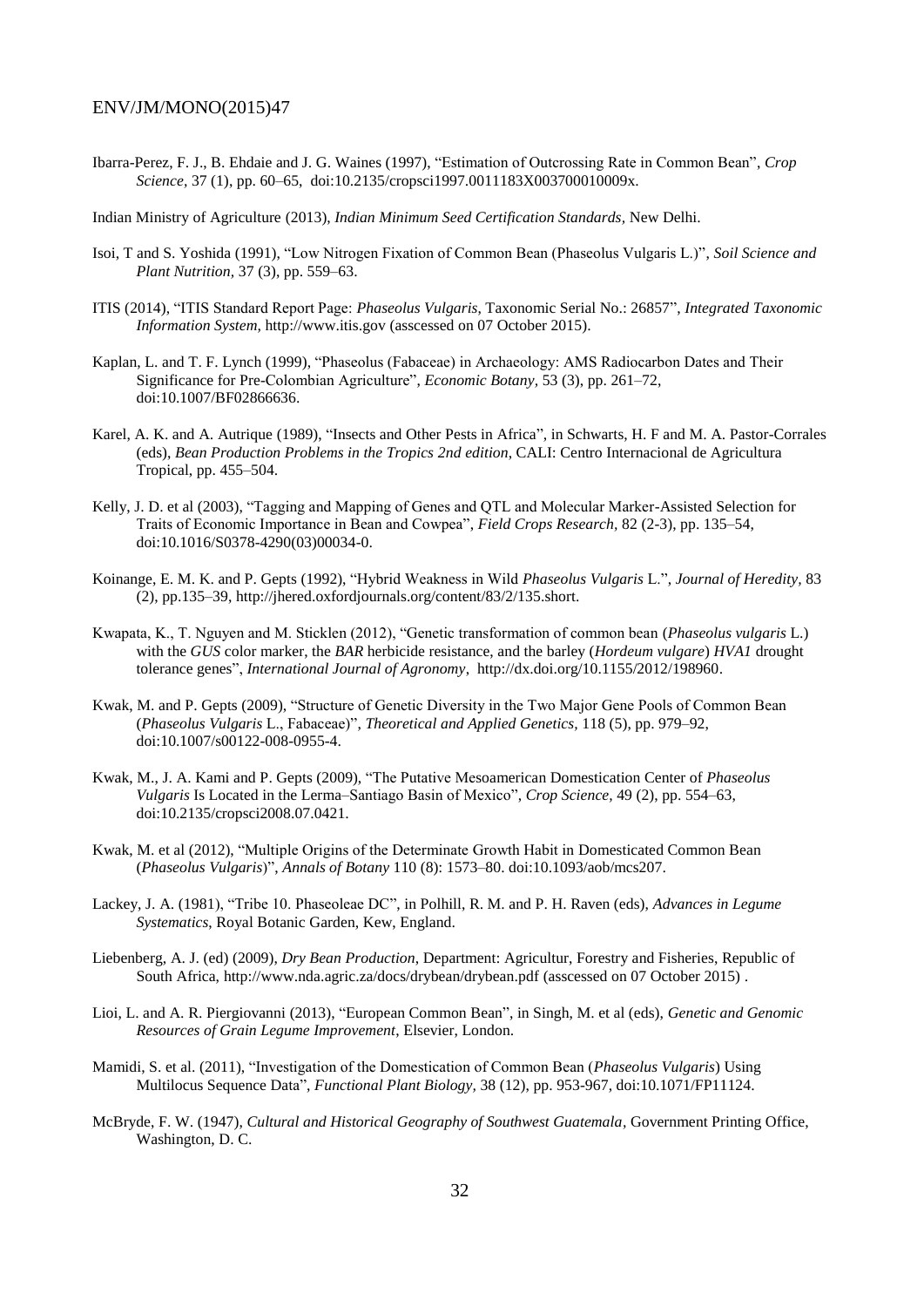Ibarra-Perez, F. J., B. Ehdaie and J. G. Waines (1997), "Estimation of Outcrossing Rate in Common Bean", *Crop Science,* 37 (1), pp. 60–65, doi:10.2135/cropsci1997.0011183X003700010009x.

Indian Ministry of Agriculture (2013), *Indian Minimum Seed Certification Standards,* New Delhi.

- Isoi, T and S. Yoshida (1991), "Low Nitrogen Fixation of Common Bean (Phaseolus Vulgaris L.)", *Soil Science and Plant Nutrition,* 37 (3), pp. 559–63.
- ITIS (2014), "ITIS Standard Report Page: *Phaseolus Vulgaris*, Taxonomic Serial No.: 26857", *Integrated Taxonomic Information System,* http://www.itis.gov (asscessed on 07 October 2015).
- Kaplan, L. and T. F. Lynch (1999), "Phaseolus (Fabaceae) in Archaeology: AMS Radiocarbon Dates and Their Significance for Pre-Colombian Agriculture", *Economic Botany,* 53 (3), pp. 261–72, doi:10.1007/BF02866636.
- Karel, A. K. and A. Autrique (1989), "Insects and Other Pests in Africa", in Schwarts, H. F and M. A. Pastor-Corrales (eds), *Bean Production Problems in the Tropics 2nd edition*, CALI: Centro Internacional de Agricultura Tropical, pp. 455–504.
- Kelly, J. D. et al (2003), "Tagging and Mapping of Genes and QTL and Molecular Marker-Assisted Selection for Traits of Economic Importance in Bean and Cowpea", *Field Crops Research,* 82 (2-3), pp. 135–54, doi:10.1016/S0378-4290(03)00034-0.
- Koinange, E. M. K. and P. Gepts (1992), "Hybrid Weakness in Wild *Phaseolus Vulgaris* L.", *Journal of Heredity,* 83 (2), pp.135–39, http://jhered.oxfordjournals.org/content/83/2/135.short.
- Kwapata, K., T. Nguyen and M. Sticklen (2012), "Genetic transformation of common bean (*Phaseolus vulgaris* L.) with the *GUS* color marker, the *BAR* herbicide resistance, and the barley (*Hordeum vulgare*) *HVA1* drought tolerance genes", *International Journal of Agronomy*, http://dx.doi.org/10.1155/2012/198960.
- Kwak, M. and P. Gepts (2009), "Structure of Genetic Diversity in the Two Major Gene Pools of Common Bean (*Phaseolus Vulgaris* L., Fabaceae)", *Theoretical and Applied Genetics,* 118 (5), pp. 979–92, doi:10.1007/s00122-008-0955-4.
- Kwak, M., J. A. Kami and P. Gepts (2009), "The Putative Mesoamerican Domestication Center of *Phaseolus Vulgaris* Is Located in the Lerma–Santiago Basin of Mexico", *Crop Science,* 49 (2), pp. 554–63, doi:10.2135/cropsci2008.07.0421.
- Kwak, M. et al (2012), "Multiple Origins of the Determinate Growth Habit in Domesticated Common Bean (*Phaseolus Vulgaris*)", *Annals of Botany* 110 (8): 1573–80. doi:10.1093/aob/mcs207.
- Lackey, J. A. (1981), "Tribe 10. Phaseoleae DC", in Polhill, R. M. and P. H. Raven (eds), *Advances in Legume Systematics*, Royal Botanic Garden, Kew, England.
- Liebenberg, A. J. (ed) (2009), *Dry Bean Production*, Department: Agricultur, Forestry and Fisheries, Republic of South Africa, http://www.nda.agric.za/docs/drybean/drybean.pdf (asscessed on 07 October 2015).
- Lioi, L. and A. R. Piergiovanni (2013), "European Common Bean", in Singh, M. et al (eds), *Genetic and Genomic Resources of Grain Legume Improvement*, Elsevier, London.
- Mamidi, S. et al. (2011), "Investigation of the Domestication of Common Bean (*Phaseolus Vulgaris*) Using Multilocus Sequence Data", *Functional Plant Biology,* 38 (12), pp. 953-967, doi:10.1071/FP11124.
- McBryde, F. W. (1947), *Cultural and Historical Geography of Southwest Guatemala,* Government Printing Office, Washington, D. C.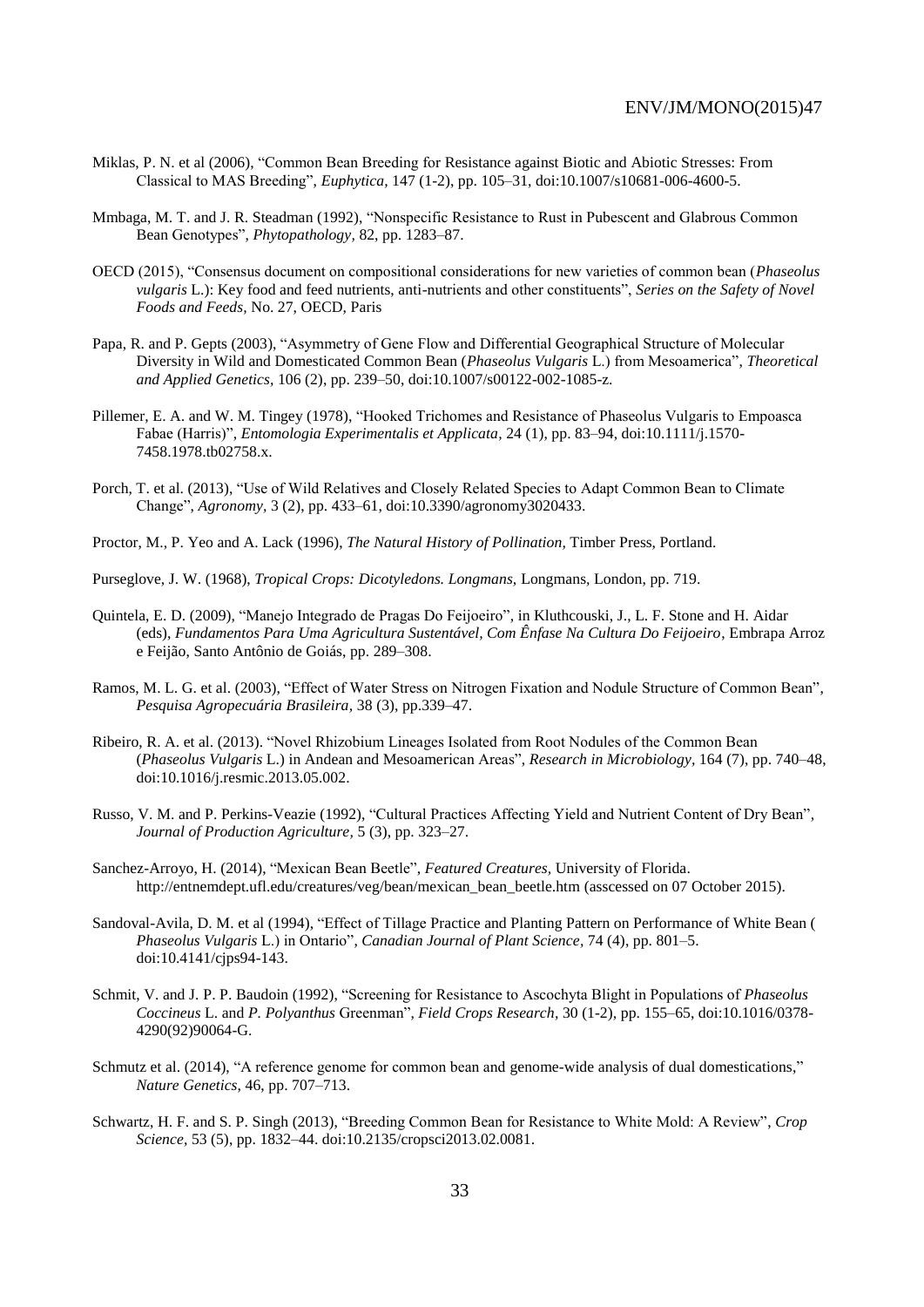- Miklas, P. N. et al (2006), "Common Bean Breeding for Resistance against Biotic and Abiotic Stresses: From Classical to MAS Breeding", *Euphytica,* 147 (1-2), pp. 105–31, doi:10.1007/s10681-006-4600-5.
- Mmbaga, M. T. and J. R. Steadman (1992), "Nonspecific Resistance to Rust in Pubescent and Glabrous Common Bean Genotypes", *Phytopathology,* 82, pp. 1283–87.
- OECD (2015), "Consensus document on compositional considerations for new varieties of common bean (*Phaseolus vulgaris* L.): Key food and feed nutrients, anti-nutrients and other constituents", *Series on the Safety of Novel Foods and Feeds,* No. 27, OECD, Paris
- Papa, R. and P. Gepts (2003), "Asymmetry of Gene Flow and Differential Geographical Structure of Molecular Diversity in Wild and Domesticated Common Bean (*Phaseolus Vulgaris* L.) from Mesoamerica", *Theoretical and Applied Genetics,* 106 (2), pp. 239–50, doi:10.1007/s00122-002-1085-z.
- Pillemer, E. A. and W. M. Tingey (1978), "Hooked Trichomes and Resistance of Phaseolus Vulgaris to Empoasca Fabae (Harris)", *Entomologia Experimentalis et Applicata,* 24 (1), pp. 83–94, doi:10.1111/j.1570- 7458.1978.tb02758.x.
- Porch, T. et al. (2013), "Use of Wild Relatives and Closely Related Species to Adapt Common Bean to Climate Change", *Agronomy,* 3 (2), pp. 433–61, doi:10.3390/agronomy3020433.
- Proctor, M., P. Yeo and A. Lack (1996), *The Natural History of Pollination,* Timber Press, Portland.
- Purseglove, J. W. (1968), *Tropical Crops: Dicotyledons. Longmans,* Longmans*,* London, pp. 719.
- Quintela, E. D. (2009), "Manejo Integrado de Pragas Do Feijoeiro", in Kluthcouski, J., L. F. Stone and H. Aidar (eds), *Fundamentos Para Uma Agricultura Sustentável, Com Ênfase Na Cultura Do Feijoeiro*, Embrapa Arroz e Feijão, Santo Antônio de Goiás, pp. 289–308.
- Ramos, M. L. G. et al. (2003), "Effect of Water Stress on Nitrogen Fixation and Nodule Structure of Common Bean", *Pesquisa Agropecuária Brasileira,* 38 (3), pp.339–47.
- Ribeiro, R. A. et al. (2013). "Novel Rhizobium Lineages Isolated from Root Nodules of the Common Bean (*Phaseolus Vulgaris* L.) in Andean and Mesoamerican Areas", *Research in Microbiology,* 164 (7), pp. 740–48, doi:10.1016/j.resmic.2013.05.002.
- Russo, V. M. and P. Perkins-Veazie (1992), "Cultural Practices Affecting Yield and Nutrient Content of Dry Bean", *Journal of Production Agriculture,* 5 (3), pp. 323–27.
- Sanchez-Arroyo, H. (2014), "Mexican Bean Beetle", *Featured Creatures,* University of Florida. http://entnemdept.ufl.edu/creatures/veg/bean/mexican\_bean\_beetle.htm (asscessed on 07 October 2015).
- Sandoval-Avila, D. M. et al (1994), "Effect of Tillage Practice and Planting Pattern on Performance of White Bean ( *Phaseolus Vulgaris* L.) in Ontario", *Canadian Journal of Plant Science,* 74 (4), pp. 801–5. doi:10.4141/cjps94-143.
- Schmit, V. and J. P. P. Baudoin (1992), "Screening for Resistance to Ascochyta Blight in Populations of *Phaseolus Coccineus* L. and *P. Polyanthus* Greenman", *Field Crops Research,* 30 (1-2), pp. 155–65, doi:10.1016/0378- 4290(92)90064-G.
- Schmutz et al. (2014), "A reference genome for common bean and genome-wide analysis of dual domestications," *Nature Genetics*, 46, pp. 707–713.
- Schwartz, H. F. and S. P. Singh (2013), "Breeding Common Bean for Resistance to White Mold: A Review", *Crop Science,* 53 (5), pp. 1832–44. doi:10.2135/cropsci2013.02.0081.